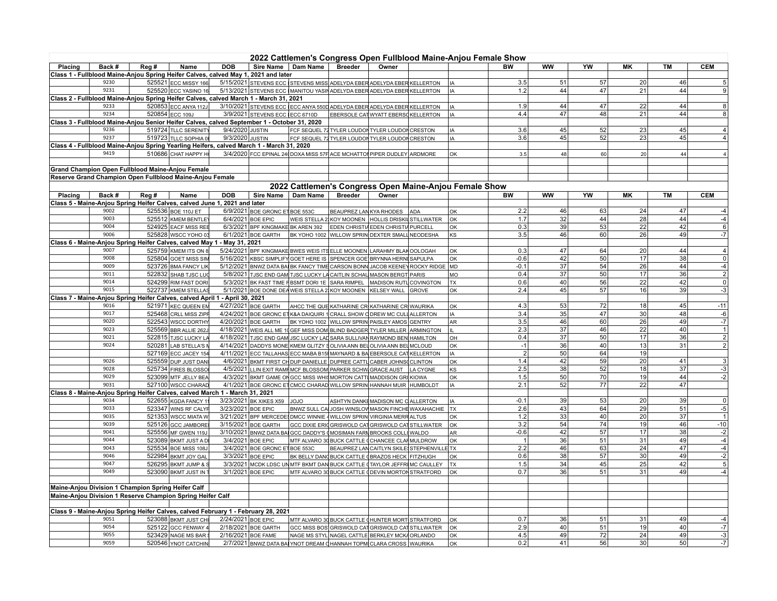| Sire Name   Dam Name<br><b>Breeder</b><br>Owner<br><b>BW</b><br><b>WW</b><br>YW<br><b>CEM</b><br>Placing<br>Back #<br>Reg #<br>Name<br><b>DOB</b><br><b>MK</b><br><b>TM</b><br>Class 1 - Fullblood Maine-Anjou Spring Heifer Calves, calved May 1, 2021 and later<br>5/15/2021 STEVENS ECC STEVENS MISS ADELYDA EBER ADELYDA EBER KELLERTON<br>3.5<br>51<br>57<br>20<br>9230<br>525521 ECC MISSY 166<br>46<br>IA<br>5<br>9231<br>9<br>525520 ECC YASINO 16<br>5/13/2021 STEVENS ECC MANITOU YASIN ADELYDA EBER ADELYDA EBER KELLERTON<br>1.2<br>44<br>47<br>21<br>44<br>IA.<br>Class 2 - Fullblood Maine-Anjou Spring Heifer Calves, calved March 1 - March 31, 2021<br>$\overline{22}$<br>47<br>3/10/2021 STEVENS ECC ECC ANYA 550D ADELYDA EBER ADELYDA EBER KELLERTON<br>44<br>$\boldsymbol{8}$<br>9233<br>520853 ECC ANYA 112J<br>1.9<br>44<br>l IA<br>9234<br>47<br>21<br>44<br>520854 ECC 109J<br>3/9/2021 STEVENS ECC ECC 6710D<br>EBERSOLE CAT WYATT EBERS KELLERTON<br>4.4<br>48<br>$\bf 8$<br>IA<br>Class 3 - Fullblood Maine-Anjou Senior Heifer Calves, calved September 1 - October 31, 2020<br>9/4/2020 JUSTIN<br>3.6<br>45<br>52<br>23<br>9236<br>519724 TLLC SERENITY<br>FCF SEQUEL 72 TYLER LOUDON TYLER LOUDON CRESTON<br>45<br>IA<br>$\overline{4}$<br>9237<br>45<br>52<br>23<br>45<br>519723 TLLC SOPHIA 0<br>9/3/2020 JUSTIN<br>FCF SEQUEL 72 TYLER LOUDON TYLER LOUDON CRESTON<br>3.6<br>$\overline{4}$<br>IA<br>Class 4 - Fullblood Maine-Anjou Spring Yearling Heifers, calved March 1 - March 31, 2020<br>9419<br>510686 СНАТ НАРРҮ Н<br>3/4/2020 FCC EPINAL 24 DOXA MISS 57F ACE MCHATTON PIPER DUDLEY ARDMORE<br>OK<br>3.5<br>48<br>60<br>20<br>44<br>Grand Champion Open Fullblood Maine-Anjou Female<br>Reserve Grand Champion Open Fullblood Maine-Anjou Female<br>2022 Cattlemen's Congress Open Maine-Anjou Female Show<br><b>Sire Name</b><br>Dam Name<br><b>Breeder</b><br>BW<br><b>WW</b><br>YW<br>MK<br><b>CEM</b><br>Placing<br>Back #<br>Reg #<br>Name<br><b>DOB</b><br>Owner<br><b>TM</b><br>Class 5 - Maine-Anjou Spring Heifer Calves, calved June 1, 2021 and later<br>63<br>24<br>9002<br>525536 BOE 110J ET<br>6/9/2021 BOE GRONC ET BOE 553C<br>BEAUPREZ LAN KYA RHODES<br>2.2<br>46<br>47<br><b>ADA</b><br>lок<br>-4<br>$-4$<br>9003<br>32<br>28<br>525512 KMEM BENTLEY<br>6/4/2021 BOE EPIC<br>1.7<br>44<br>44<br>WEIS STELLA 2 KOY MOONEN HOLLIS DRISKILSTILLWATER<br>lок<br>$\sqrt{6}$<br>39<br>53<br>22<br>42<br>9004<br>524925 EACF MISS REE<br>0.3<br>6/3/2021 BPF KINGMAKE BK AREN 392 EDEN CHRISTIA EDEN CHRISTIA PURCELL<br>OK<br>9006<br>26<br>49<br>$-7$<br>525828 WSCC YOHO 03<br>3.5<br>46<br>60<br>6/1/2021 BOE GARTH<br>BK YOHO 1002 WILLOW SPRIN DEXTER SMALL NEODESHA<br>lĸs<br>Class 6 - Maine-Anjou Spring Heifer Calves, calved May 1 - May 31, 2021<br>0.3<br>47<br>64<br>20<br>44<br>$\sqrt{4}$<br>9007<br>525759 KMEM ITS ON 8<br>5/24/2021 BPF KINGMAKE BWES WEIS ITS ELLE MOONEN LARAHMY BLAK OOLOGAH<br>lок<br>$\overline{\mathfrak{o}}$<br>9008<br>42<br>50<br>17<br>38<br>525804 GOET MISS SIM<br>5/16/2021 KBSC SIMPLIFY GOET HERE IS SPENCER GOE BRYNNA HERNI SAPULPA<br>$-0.6$<br> oĸ<br>37<br>54<br>26<br>9009<br>$-0.1$<br>44<br>523726 BMA FANCY LIK<br>5/12/2021 BNWZ DATA BA BK FANCY TIME CARSON BONN JACOB KEENEY ROCKY RIDGE<br>$-4$<br>MD<br>$\overline{2}$<br>9011<br>50<br>17<br>36<br>522832 SHAB TJSC LUC<br>5/8/2021 TJSC END GAM TJSC LUCKY LA CAITLIN SCHAU MASON BERGT PARIS<br>0.4<br>37<br>MO<br>$\overline{0}$<br>9014<br>524299 RIM FAST DORI<br>5/3/2021 BK FAST TIME FIBSMT DORI 1E SARA RIMPEL MADISON RUTLCOVINGTON<br>0.6<br>40<br>56<br>22<br>42<br>l TX<br>9015<br>522737 KMEM STELLAS<br>5/1/2021 BOE DONE DEA WEIS STELLA 2 KOY MOONEN KELSEY WALL GROVE<br>2.4<br>45<br>57<br>16<br>39<br>$-3$<br> OK<br>Class 7 - Maine-Anjou Spring Heifer Calves, calved April 1 - April 30, 2021<br>4/27/2021 BOE GARTH<br>53<br>72<br>18<br>$-11$<br>9016<br>521971 KEC QUEEN EM<br>AHCC THE QUE KATHARINE CR KATHARINE CR WAURIKA<br>4.3<br>45<br><b>OK</b><br>9017<br>525468 CRLL MISS ZIPF<br>35<br>47<br>30<br>48<br>4/24/2021 BOE GRONC ET K&A DAIQUIRI 1 CRALL SHOW O DREW MC CULL ALLERTON<br>3.4<br>-6<br>IA<br>9020<br>$-7$<br>522543 WSCC DORTHY<br>4/20/2021 BOE GARTH<br>BK YOHO 1002 WILLOW SPRIN PAISLEY AMOS GENTRY<br>3.5<br>46<br>60<br>26<br>49<br>AR<br>37<br>22<br>9023<br>525569 BBR ALLIE 262.<br>2.3<br>46<br>40<br>$\mathbf{1}$<br>4/18/2021 WEIS ALL ME 10 GEF MISS DOM BLIND BADGER TYLER MILLER ARMINGTON<br>H.<br>$\overline{2}$<br>37<br>50<br>17<br>36<br>9021<br>522815 TJSC LUCKY LA<br>0.4<br>4/18/2021 TJSC END GAM JSC LUCKY LAD SARA SULLIVAN RAYMOND BEN HAMILTON<br>OH<br>$\overline{2}$<br>9024<br>36<br>40<br>13<br>31<br>4/14/2021 DADDYS MONE KMEM GLITZY SOLIVIA ANN BEL OLIVIA ANN BEL MCLOUD<br>$-1$<br>520281 LAB STELLA'S<br>OK<br>$\overline{2}$<br>50<br>527169 ECC JACEY 154<br>64<br>19<br>4/11/2021 ECC TALLAHAS ECC MABA B15 MAYNARD & BA EBERSOLE CAT KELLERTON<br>IA<br>9026<br>1.4<br>42<br>59<br>20<br>3<br>525559 DUP JUST DAN<br>4/6/2021 BKMT FIRST CHDUP DANIELLE DUPREE CATTL CABER JOHNS CLINTON<br>41<br>lок<br>$-3$<br>9028<br>$\overline{38}$<br>52<br>$\overline{37}$<br>2.5<br>525734 FIRES BLOSSO<br>4/5/2021 LLIN EXIT RAMF MCF BLOSSOM PARKER SCHW GRACE AUST<br>18<br>LA CYGNE<br>KS<br>9029<br>50<br>70<br>19<br>$-2$<br>523099 MTF JELLY BEA<br>4/3/2021 BKMT GAME ON GCC MISS WHIS MORTON CATTI MADDISON GRI KIOWA<br>1.5<br>44<br>lок<br>9031<br>2.1<br>52<br>77<br>22<br>47<br>527100 WSCC CHARAD<br>4/1/2021 BOE GRONC ET CMCC CHARAD WILLOW SPRIN HANNAH MUIR HUMBOLDT<br><b>IA</b><br>Class 8 - Maine-Anjou Spring Heifer Calves, calved March 1 - March 31, 2021<br>522655 KGDA FANCY 11<br>3/23/2021 BK XIKES X59<br>$-0.1$<br>39<br>53<br>20<br>39<br>$\mathbf 0$<br>9034<br>ASHTYN DANKE MADISON MC CALLERTON<br>OLOL<br>IA<br>43<br>$-5$<br>64<br>29<br>9033<br>523347 WINS RF CALYF<br>3/23/2021 BOE EPIC<br>BNWZ SULL CA JOSH WINSLOV MASON FINCHE WAXAHACHIE<br>l TX<br>2.6<br>51<br>9035<br>33<br>40<br>20<br>37<br>521353 WSCC MIATA W<br>3/21/2021 BPF MERCEDE DMCC WINNIE 4 WILLOW SPRIN VIRGINIA MERRALTUS<br>1.2<br>OK<br>$\mathbf{1}$<br>3.2<br>54<br>74<br>19<br>$-10$<br>9039<br>525126 GCC JAMBORE<br>3/15/2021 BOE GARTH<br>GCC DIXIE ERIC GRISWOLD CAT GRISWOLD CAT STILLWATER<br>46<br>lок<br>9041<br>42<br>57<br>$-2$<br>525556 MF GWEN 119J<br>3/10/2021 BNWZ DATA BAI GCC DADDY'S (MOSIMAN FARI BROOKS COLLI WALDO<br>$-0.6$<br>17<br>38<br>AR<br>9044<br>523089 BKMT JUST AD<br>3/4/2021 BOE EPIC<br>36<br>51<br>31<br>49<br>$-4$<br>MTF ALVARO 30 BUCK CATTLE CHANCEE CLARMULDROW<br>lок<br>$\overline{1}$<br>2.2<br>46<br>63<br>$\overline{24}$<br>47<br>$-4$<br>9043<br>525534 BOE MISS 108J<br>3/4/2021 BOE GRONC ET BOE 553C<br>BEAUPREZ LAN CAITLYN SKILE! STEPHENVILI<br>∃l ⊤x<br>38<br>30<br>$\frac{-2}{5}$<br>9046<br>57<br>49<br>522984 BKMT JOY GAL<br>3/3/2021 BOE EPIC<br>0.6<br>BK BELLY DAN BUCK CATTLE (BRAZOS HECK FITZHUGH<br><b>OK</b><br>9047<br>1.5<br>34<br>45<br>25<br>42<br>526295 BKMT JUMP & \$<br>3/3/2021 MCDK LDSC UN MTF BKMT DAN BUCK CATTLE TAYLOR JEFFRIMC CAULLEY<br><b>TX</b><br>9049<br>36<br>31<br>523090 BKMT JUST IN 1<br>3/1/2021 BOE EPIC<br>MTF ALVARO 30 BUCK CATTLE (DEVIN MORTON STRATFORD<br>0.7<br>51<br>49<br>-4<br> oĸ<br>Maine-Anjou Division 1 Champion Spring Heifer Calf<br>Maine-Anjou Division 1 Reserve Champion Spring Heifer Calf<br>Class 9 - Maine-Anjou Spring Heifer Calves, calved February 1 - February 28, 2021<br>523088 BKMT JUST CHI<br>2/24/2021 BOE EPIC<br>MTF ALVARO 30 BUCK CATTLE (HUNTER MORT STRATFORD<br>0.7<br>36<br>51<br>31<br>49<br>9051<br> oĸ<br>-4<br>$-7$<br>9054<br>2.9<br>40<br>51<br>19<br>40<br>525122 GCC FENWAY 4<br>2/18/2021 BOE GARTH<br>GCC MISS BOS GRISWOLD CAT GRISWOLD CAT STILLWATER<br>OK<br>9055<br>24<br>$-3$<br>523429 NAGE MS BAR<br>2/16/2021 BOE FAME<br>49<br>72<br>49<br>NAGE MS STYL NAGEL CATTLE BERKLEY MCK4 ORLANDO<br>4.5<br>OK<br>2/7/2021 BNWZ DATA BA YNOT DREAM CHANNAH TOPM CLARA CROSS WAURIKA<br>520546 YNOT CATCHIN |      |  |  | 2022 Cattlemen's Congress Open Fullblood Maine-Anjou Female Show |  |     |     |    |    |                 |    |      |
|---------------------------------------------------------------------------------------------------------------------------------------------------------------------------------------------------------------------------------------------------------------------------------------------------------------------------------------------------------------------------------------------------------------------------------------------------------------------------------------------------------------------------------------------------------------------------------------------------------------------------------------------------------------------------------------------------------------------------------------------------------------------------------------------------------------------------------------------------------------------------------------------------------------------------------------------------------------------------------------------------------------------------------------------------------------------------------------------------------------------------------------------------------------------------------------------------------------------------------------------------------------------------------------------------------------------------------------------------------------------------------------------------------------------------------------------------------------------------------------------------------------------------------------------------------------------------------------------------------------------------------------------------------------------------------------------------------------------------------------------------------------------------------------------------------------------------------------------------------------------------------------------------------------------------------------------------------------------------------------------------------------------------------------------------------------------------------------------------------------------------------------------------------------------------------------------------------------------------------------------------------------------------------------------------------------------------------------------------------------------------------------------------------------------------------------------------------------------------------------------------------------------------------------------------------------------------------------------------------------------------------------------------------------------------------------------------------------------------------------------------------------------------------------------------------------------------------------------------------------------------------------------------------------------------------------------------------------------------------------------------------------------------------------------------------------------------------------------------------------------------------------------------------------------------------------------------------------------------------------------------------------------------------------------------------------------------------------------------------------------------------------------------------------------------------------------------------------------------------------------------------------------------------------------------------------------------------------------------------------------------------------------------------------------------------------------------------------------------------------------------------------------------------------------------------------------------------------------------------------------------------------------------------------------------------------------------------------------------------------------------------------------------------------------------------------------------------------------------------------------------------------------------------------------------------------------------------------------------------------------------------------------------------------------------------------------------------------------------------------------------------------------------------------------------------------------------------------------------------------------------------------------------------------------------------------------------------------------------------------------------------------------------------------------------------------------------------------------------------------------------------------------------------------------------------------------------------------------------------------------------------------------------------------------------------------------------------------------------------------------------------------------------------------------------------------------------------------------------------------------------------------------------------------------------------------------------------------------------------------------------------------------------------------------------------------------------------------------------------------------------------------------------------------------------------------------------------------------------------------------------------------------------------------------------------------------------------------------------------------------------------------------------------------------------------------------------------------------------------------------------------------------------------------------------------------------------------------------------------------------------------------------------------------------------------------------------------------------------------------------------------------------------------------------------------------------------------------------------------------------------------------------------------------------------------------------------------------------------------------------------------------------------------------------------------------------------------------------------------------------------------------------------------------------------------------------------------------------------------------------------------------------------------------------------------------------------------------------------------------------------------------------------------------------------------------------------------------------------------------------------------------------------------------------------------------------------------------------------------------------------------------------------------------------------------------------------------------------------------------------------------------------------------------------------------------------------------------------------------------------------------------------------------------------------------------------------------------------------------------------------------------------------------------------------------------------------------------------------------------------------------------------------------------------------------------------------------------------------------------------------------------------------------------------------------------------------------------------------------------------------------------------------------------------------------------------------------------------------------------------------------------------------------------------------------------------------------------------------------------------------------------------------------------------------------------------------------------------------------------------------------------------------------------------------------------------------------------------------------------------------------------------------------|------|--|--|------------------------------------------------------------------|--|-----|-----|----|----|-----------------|----|------|
|                                                                                                                                                                                                                                                                                                                                                                                                                                                                                                                                                                                                                                                                                                                                                                                                                                                                                                                                                                                                                                                                                                                                                                                                                                                                                                                                                                                                                                                                                                                                                                                                                                                                                                                                                                                                                                                                                                                                                                                                                                                                                                                                                                                                                                                                                                                                                                                                                                                                                                                                                                                                                                                                                                                                                                                                                                                                                                                                                                                                                                                                                                                                                                                                                                                                                                                                                                                                                                                                                                                                                                                                                                                                                                                                                                                                                                                                                                                                                                                                                                                                                                                                                                                                                                                                                                                                                                                                                                                                                                                                                                                                                                                                                                                                                                                                                                                                                                                                                                                                                                                                                                                                                                                                                                                                                                                                                                                                                                                                                                                                                                                                                                                                                                                                                                                                                                                                                                                                                                                                                                                                                                                                                                                                                                                                                                                                                                                                                                                                                                                                                                                                                                                                                                                                                                                                                                                                                                                                                                                                                                                                                                                                                                                                                                                                                                                                                                                                                                                                                                                                                                                                                                                                                                                                                                                                                                                                                                                                                                                                                                                                                                                                                         |      |  |  |                                                                  |  |     |     |    |    |                 |    |      |
|                                                                                                                                                                                                                                                                                                                                                                                                                                                                                                                                                                                                                                                                                                                                                                                                                                                                                                                                                                                                                                                                                                                                                                                                                                                                                                                                                                                                                                                                                                                                                                                                                                                                                                                                                                                                                                                                                                                                                                                                                                                                                                                                                                                                                                                                                                                                                                                                                                                                                                                                                                                                                                                                                                                                                                                                                                                                                                                                                                                                                                                                                                                                                                                                                                                                                                                                                                                                                                                                                                                                                                                                                                                                                                                                                                                                                                                                                                                                                                                                                                                                                                                                                                                                                                                                                                                                                                                                                                                                                                                                                                                                                                                                                                                                                                                                                                                                                                                                                                                                                                                                                                                                                                                                                                                                                                                                                                                                                                                                                                                                                                                                                                                                                                                                                                                                                                                                                                                                                                                                                                                                                                                                                                                                                                                                                                                                                                                                                                                                                                                                                                                                                                                                                                                                                                                                                                                                                                                                                                                                                                                                                                                                                                                                                                                                                                                                                                                                                                                                                                                                                                                                                                                                                                                                                                                                                                                                                                                                                                                                                                                                                                                                                         |      |  |  |                                                                  |  |     |     |    |    |                 |    |      |
|                                                                                                                                                                                                                                                                                                                                                                                                                                                                                                                                                                                                                                                                                                                                                                                                                                                                                                                                                                                                                                                                                                                                                                                                                                                                                                                                                                                                                                                                                                                                                                                                                                                                                                                                                                                                                                                                                                                                                                                                                                                                                                                                                                                                                                                                                                                                                                                                                                                                                                                                                                                                                                                                                                                                                                                                                                                                                                                                                                                                                                                                                                                                                                                                                                                                                                                                                                                                                                                                                                                                                                                                                                                                                                                                                                                                                                                                                                                                                                                                                                                                                                                                                                                                                                                                                                                                                                                                                                                                                                                                                                                                                                                                                                                                                                                                                                                                                                                                                                                                                                                                                                                                                                                                                                                                                                                                                                                                                                                                                                                                                                                                                                                                                                                                                                                                                                                                                                                                                                                                                                                                                                                                                                                                                                                                                                                                                                                                                                                                                                                                                                                                                                                                                                                                                                                                                                                                                                                                                                                                                                                                                                                                                                                                                                                                                                                                                                                                                                                                                                                                                                                                                                                                                                                                                                                                                                                                                                                                                                                                                                                                                                                                                         |      |  |  |                                                                  |  |     |     |    |    |                 |    |      |
|                                                                                                                                                                                                                                                                                                                                                                                                                                                                                                                                                                                                                                                                                                                                                                                                                                                                                                                                                                                                                                                                                                                                                                                                                                                                                                                                                                                                                                                                                                                                                                                                                                                                                                                                                                                                                                                                                                                                                                                                                                                                                                                                                                                                                                                                                                                                                                                                                                                                                                                                                                                                                                                                                                                                                                                                                                                                                                                                                                                                                                                                                                                                                                                                                                                                                                                                                                                                                                                                                                                                                                                                                                                                                                                                                                                                                                                                                                                                                                                                                                                                                                                                                                                                                                                                                                                                                                                                                                                                                                                                                                                                                                                                                                                                                                                                                                                                                                                                                                                                                                                                                                                                                                                                                                                                                                                                                                                                                                                                                                                                                                                                                                                                                                                                                                                                                                                                                                                                                                                                                                                                                                                                                                                                                                                                                                                                                                                                                                                                                                                                                                                                                                                                                                                                                                                                                                                                                                                                                                                                                                                                                                                                                                                                                                                                                                                                                                                                                                                                                                                                                                                                                                                                                                                                                                                                                                                                                                                                                                                                                                                                                                                                                         |      |  |  |                                                                  |  |     |     |    |    |                 |    |      |
|                                                                                                                                                                                                                                                                                                                                                                                                                                                                                                                                                                                                                                                                                                                                                                                                                                                                                                                                                                                                                                                                                                                                                                                                                                                                                                                                                                                                                                                                                                                                                                                                                                                                                                                                                                                                                                                                                                                                                                                                                                                                                                                                                                                                                                                                                                                                                                                                                                                                                                                                                                                                                                                                                                                                                                                                                                                                                                                                                                                                                                                                                                                                                                                                                                                                                                                                                                                                                                                                                                                                                                                                                                                                                                                                                                                                                                                                                                                                                                                                                                                                                                                                                                                                                                                                                                                                                                                                                                                                                                                                                                                                                                                                                                                                                                                                                                                                                                                                                                                                                                                                                                                                                                                                                                                                                                                                                                                                                                                                                                                                                                                                                                                                                                                                                                                                                                                                                                                                                                                                                                                                                                                                                                                                                                                                                                                                                                                                                                                                                                                                                                                                                                                                                                                                                                                                                                                                                                                                                                                                                                                                                                                                                                                                                                                                                                                                                                                                                                                                                                                                                                                                                                                                                                                                                                                                                                                                                                                                                                                                                                                                                                                                                         |      |  |  |                                                                  |  |     |     |    |    |                 |    |      |
|                                                                                                                                                                                                                                                                                                                                                                                                                                                                                                                                                                                                                                                                                                                                                                                                                                                                                                                                                                                                                                                                                                                                                                                                                                                                                                                                                                                                                                                                                                                                                                                                                                                                                                                                                                                                                                                                                                                                                                                                                                                                                                                                                                                                                                                                                                                                                                                                                                                                                                                                                                                                                                                                                                                                                                                                                                                                                                                                                                                                                                                                                                                                                                                                                                                                                                                                                                                                                                                                                                                                                                                                                                                                                                                                                                                                                                                                                                                                                                                                                                                                                                                                                                                                                                                                                                                                                                                                                                                                                                                                                                                                                                                                                                                                                                                                                                                                                                                                                                                                                                                                                                                                                                                                                                                                                                                                                                                                                                                                                                                                                                                                                                                                                                                                                                                                                                                                                                                                                                                                                                                                                                                                                                                                                                                                                                                                                                                                                                                                                                                                                                                                                                                                                                                                                                                                                                                                                                                                                                                                                                                                                                                                                                                                                                                                                                                                                                                                                                                                                                                                                                                                                                                                                                                                                                                                                                                                                                                                                                                                                                                                                                                                                         |      |  |  |                                                                  |  |     |     |    |    |                 |    |      |
|                                                                                                                                                                                                                                                                                                                                                                                                                                                                                                                                                                                                                                                                                                                                                                                                                                                                                                                                                                                                                                                                                                                                                                                                                                                                                                                                                                                                                                                                                                                                                                                                                                                                                                                                                                                                                                                                                                                                                                                                                                                                                                                                                                                                                                                                                                                                                                                                                                                                                                                                                                                                                                                                                                                                                                                                                                                                                                                                                                                                                                                                                                                                                                                                                                                                                                                                                                                                                                                                                                                                                                                                                                                                                                                                                                                                                                                                                                                                                                                                                                                                                                                                                                                                                                                                                                                                                                                                                                                                                                                                                                                                                                                                                                                                                                                                                                                                                                                                                                                                                                                                                                                                                                                                                                                                                                                                                                                                                                                                                                                                                                                                                                                                                                                                                                                                                                                                                                                                                                                                                                                                                                                                                                                                                                                                                                                                                                                                                                                                                                                                                                                                                                                                                                                                                                                                                                                                                                                                                                                                                                                                                                                                                                                                                                                                                                                                                                                                                                                                                                                                                                                                                                                                                                                                                                                                                                                                                                                                                                                                                                                                                                                                                         |      |  |  |                                                                  |  |     |     |    |    |                 |    |      |
|                                                                                                                                                                                                                                                                                                                                                                                                                                                                                                                                                                                                                                                                                                                                                                                                                                                                                                                                                                                                                                                                                                                                                                                                                                                                                                                                                                                                                                                                                                                                                                                                                                                                                                                                                                                                                                                                                                                                                                                                                                                                                                                                                                                                                                                                                                                                                                                                                                                                                                                                                                                                                                                                                                                                                                                                                                                                                                                                                                                                                                                                                                                                                                                                                                                                                                                                                                                                                                                                                                                                                                                                                                                                                                                                                                                                                                                                                                                                                                                                                                                                                                                                                                                                                                                                                                                                                                                                                                                                                                                                                                                                                                                                                                                                                                                                                                                                                                                                                                                                                                                                                                                                                                                                                                                                                                                                                                                                                                                                                                                                                                                                                                                                                                                                                                                                                                                                                                                                                                                                                                                                                                                                                                                                                                                                                                                                                                                                                                                                                                                                                                                                                                                                                                                                                                                                                                                                                                                                                                                                                                                                                                                                                                                                                                                                                                                                                                                                                                                                                                                                                                                                                                                                                                                                                                                                                                                                                                                                                                                                                                                                                                                                                         |      |  |  |                                                                  |  |     |     |    |    |                 |    |      |
|                                                                                                                                                                                                                                                                                                                                                                                                                                                                                                                                                                                                                                                                                                                                                                                                                                                                                                                                                                                                                                                                                                                                                                                                                                                                                                                                                                                                                                                                                                                                                                                                                                                                                                                                                                                                                                                                                                                                                                                                                                                                                                                                                                                                                                                                                                                                                                                                                                                                                                                                                                                                                                                                                                                                                                                                                                                                                                                                                                                                                                                                                                                                                                                                                                                                                                                                                                                                                                                                                                                                                                                                                                                                                                                                                                                                                                                                                                                                                                                                                                                                                                                                                                                                                                                                                                                                                                                                                                                                                                                                                                                                                                                                                                                                                                                                                                                                                                                                                                                                                                                                                                                                                                                                                                                                                                                                                                                                                                                                                                                                                                                                                                                                                                                                                                                                                                                                                                                                                                                                                                                                                                                                                                                                                                                                                                                                                                                                                                                                                                                                                                                                                                                                                                                                                                                                                                                                                                                                                                                                                                                                                                                                                                                                                                                                                                                                                                                                                                                                                                                                                                                                                                                                                                                                                                                                                                                                                                                                                                                                                                                                                                                                                         |      |  |  |                                                                  |  |     |     |    |    |                 |    |      |
|                                                                                                                                                                                                                                                                                                                                                                                                                                                                                                                                                                                                                                                                                                                                                                                                                                                                                                                                                                                                                                                                                                                                                                                                                                                                                                                                                                                                                                                                                                                                                                                                                                                                                                                                                                                                                                                                                                                                                                                                                                                                                                                                                                                                                                                                                                                                                                                                                                                                                                                                                                                                                                                                                                                                                                                                                                                                                                                                                                                                                                                                                                                                                                                                                                                                                                                                                                                                                                                                                                                                                                                                                                                                                                                                                                                                                                                                                                                                                                                                                                                                                                                                                                                                                                                                                                                                                                                                                                                                                                                                                                                                                                                                                                                                                                                                                                                                                                                                                                                                                                                                                                                                                                                                                                                                                                                                                                                                                                                                                                                                                                                                                                                                                                                                                                                                                                                                                                                                                                                                                                                                                                                                                                                                                                                                                                                                                                                                                                                                                                                                                                                                                                                                                                                                                                                                                                                                                                                                                                                                                                                                                                                                                                                                                                                                                                                                                                                                                                                                                                                                                                                                                                                                                                                                                                                                                                                                                                                                                                                                                                                                                                                                                         |      |  |  |                                                                  |  |     |     |    |    |                 |    |      |
|                                                                                                                                                                                                                                                                                                                                                                                                                                                                                                                                                                                                                                                                                                                                                                                                                                                                                                                                                                                                                                                                                                                                                                                                                                                                                                                                                                                                                                                                                                                                                                                                                                                                                                                                                                                                                                                                                                                                                                                                                                                                                                                                                                                                                                                                                                                                                                                                                                                                                                                                                                                                                                                                                                                                                                                                                                                                                                                                                                                                                                                                                                                                                                                                                                                                                                                                                                                                                                                                                                                                                                                                                                                                                                                                                                                                                                                                                                                                                                                                                                                                                                                                                                                                                                                                                                                                                                                                                                                                                                                                                                                                                                                                                                                                                                                                                                                                                                                                                                                                                                                                                                                                                                                                                                                                                                                                                                                                                                                                                                                                                                                                                                                                                                                                                                                                                                                                                                                                                                                                                                                                                                                                                                                                                                                                                                                                                                                                                                                                                                                                                                                                                                                                                                                                                                                                                                                                                                                                                                                                                                                                                                                                                                                                                                                                                                                                                                                                                                                                                                                                                                                                                                                                                                                                                                                                                                                                                                                                                                                                                                                                                                                                                         |      |  |  |                                                                  |  |     |     |    |    |                 |    |      |
|                                                                                                                                                                                                                                                                                                                                                                                                                                                                                                                                                                                                                                                                                                                                                                                                                                                                                                                                                                                                                                                                                                                                                                                                                                                                                                                                                                                                                                                                                                                                                                                                                                                                                                                                                                                                                                                                                                                                                                                                                                                                                                                                                                                                                                                                                                                                                                                                                                                                                                                                                                                                                                                                                                                                                                                                                                                                                                                                                                                                                                                                                                                                                                                                                                                                                                                                                                                                                                                                                                                                                                                                                                                                                                                                                                                                                                                                                                                                                                                                                                                                                                                                                                                                                                                                                                                                                                                                                                                                                                                                                                                                                                                                                                                                                                                                                                                                                                                                                                                                                                                                                                                                                                                                                                                                                                                                                                                                                                                                                                                                                                                                                                                                                                                                                                                                                                                                                                                                                                                                                                                                                                                                                                                                                                                                                                                                                                                                                                                                                                                                                                                                                                                                                                                                                                                                                                                                                                                                                                                                                                                                                                                                                                                                                                                                                                                                                                                                                                                                                                                                                                                                                                                                                                                                                                                                                                                                                                                                                                                                                                                                                                                                                         |      |  |  |                                                                  |  |     |     |    |    |                 |    |      |
|                                                                                                                                                                                                                                                                                                                                                                                                                                                                                                                                                                                                                                                                                                                                                                                                                                                                                                                                                                                                                                                                                                                                                                                                                                                                                                                                                                                                                                                                                                                                                                                                                                                                                                                                                                                                                                                                                                                                                                                                                                                                                                                                                                                                                                                                                                                                                                                                                                                                                                                                                                                                                                                                                                                                                                                                                                                                                                                                                                                                                                                                                                                                                                                                                                                                                                                                                                                                                                                                                                                                                                                                                                                                                                                                                                                                                                                                                                                                                                                                                                                                                                                                                                                                                                                                                                                                                                                                                                                                                                                                                                                                                                                                                                                                                                                                                                                                                                                                                                                                                                                                                                                                                                                                                                                                                                                                                                                                                                                                                                                                                                                                                                                                                                                                                                                                                                                                                                                                                                                                                                                                                                                                                                                                                                                                                                                                                                                                                                                                                                                                                                                                                                                                                                                                                                                                                                                                                                                                                                                                                                                                                                                                                                                                                                                                                                                                                                                                                                                                                                                                                                                                                                                                                                                                                                                                                                                                                                                                                                                                                                                                                                                                                         |      |  |  |                                                                  |  |     |     |    |    |                 |    |      |
|                                                                                                                                                                                                                                                                                                                                                                                                                                                                                                                                                                                                                                                                                                                                                                                                                                                                                                                                                                                                                                                                                                                                                                                                                                                                                                                                                                                                                                                                                                                                                                                                                                                                                                                                                                                                                                                                                                                                                                                                                                                                                                                                                                                                                                                                                                                                                                                                                                                                                                                                                                                                                                                                                                                                                                                                                                                                                                                                                                                                                                                                                                                                                                                                                                                                                                                                                                                                                                                                                                                                                                                                                                                                                                                                                                                                                                                                                                                                                                                                                                                                                                                                                                                                                                                                                                                                                                                                                                                                                                                                                                                                                                                                                                                                                                                                                                                                                                                                                                                                                                                                                                                                                                                                                                                                                                                                                                                                                                                                                                                                                                                                                                                                                                                                                                                                                                                                                                                                                                                                                                                                                                                                                                                                                                                                                                                                                                                                                                                                                                                                                                                                                                                                                                                                                                                                                                                                                                                                                                                                                                                                                                                                                                                                                                                                                                                                                                                                                                                                                                                                                                                                                                                                                                                                                                                                                                                                                                                                                                                                                                                                                                                                                         |      |  |  |                                                                  |  |     |     |    |    |                 |    |      |
|                                                                                                                                                                                                                                                                                                                                                                                                                                                                                                                                                                                                                                                                                                                                                                                                                                                                                                                                                                                                                                                                                                                                                                                                                                                                                                                                                                                                                                                                                                                                                                                                                                                                                                                                                                                                                                                                                                                                                                                                                                                                                                                                                                                                                                                                                                                                                                                                                                                                                                                                                                                                                                                                                                                                                                                                                                                                                                                                                                                                                                                                                                                                                                                                                                                                                                                                                                                                                                                                                                                                                                                                                                                                                                                                                                                                                                                                                                                                                                                                                                                                                                                                                                                                                                                                                                                                                                                                                                                                                                                                                                                                                                                                                                                                                                                                                                                                                                                                                                                                                                                                                                                                                                                                                                                                                                                                                                                                                                                                                                                                                                                                                                                                                                                                                                                                                                                                                                                                                                                                                                                                                                                                                                                                                                                                                                                                                                                                                                                                                                                                                                                                                                                                                                                                                                                                                                                                                                                                                                                                                                                                                                                                                                                                                                                                                                                                                                                                                                                                                                                                                                                                                                                                                                                                                                                                                                                                                                                                                                                                                                                                                                                                                         |      |  |  |                                                                  |  |     |     |    |    |                 |    |      |
|                                                                                                                                                                                                                                                                                                                                                                                                                                                                                                                                                                                                                                                                                                                                                                                                                                                                                                                                                                                                                                                                                                                                                                                                                                                                                                                                                                                                                                                                                                                                                                                                                                                                                                                                                                                                                                                                                                                                                                                                                                                                                                                                                                                                                                                                                                                                                                                                                                                                                                                                                                                                                                                                                                                                                                                                                                                                                                                                                                                                                                                                                                                                                                                                                                                                                                                                                                                                                                                                                                                                                                                                                                                                                                                                                                                                                                                                                                                                                                                                                                                                                                                                                                                                                                                                                                                                                                                                                                                                                                                                                                                                                                                                                                                                                                                                                                                                                                                                                                                                                                                                                                                                                                                                                                                                                                                                                                                                                                                                                                                                                                                                                                                                                                                                                                                                                                                                                                                                                                                                                                                                                                                                                                                                                                                                                                                                                                                                                                                                                                                                                                                                                                                                                                                                                                                                                                                                                                                                                                                                                                                                                                                                                                                                                                                                                                                                                                                                                                                                                                                                                                                                                                                                                                                                                                                                                                                                                                                                                                                                                                                                                                                                                         |      |  |  |                                                                  |  |     |     |    |    |                 |    |      |
|                                                                                                                                                                                                                                                                                                                                                                                                                                                                                                                                                                                                                                                                                                                                                                                                                                                                                                                                                                                                                                                                                                                                                                                                                                                                                                                                                                                                                                                                                                                                                                                                                                                                                                                                                                                                                                                                                                                                                                                                                                                                                                                                                                                                                                                                                                                                                                                                                                                                                                                                                                                                                                                                                                                                                                                                                                                                                                                                                                                                                                                                                                                                                                                                                                                                                                                                                                                                                                                                                                                                                                                                                                                                                                                                                                                                                                                                                                                                                                                                                                                                                                                                                                                                                                                                                                                                                                                                                                                                                                                                                                                                                                                                                                                                                                                                                                                                                                                                                                                                                                                                                                                                                                                                                                                                                                                                                                                                                                                                                                                                                                                                                                                                                                                                                                                                                                                                                                                                                                                                                                                                                                                                                                                                                                                                                                                                                                                                                                                                                                                                                                                                                                                                                                                                                                                                                                                                                                                                                                                                                                                                                                                                                                                                                                                                                                                                                                                                                                                                                                                                                                                                                                                                                                                                                                                                                                                                                                                                                                                                                                                                                                                                                         |      |  |  |                                                                  |  |     |     |    |    |                 |    |      |
|                                                                                                                                                                                                                                                                                                                                                                                                                                                                                                                                                                                                                                                                                                                                                                                                                                                                                                                                                                                                                                                                                                                                                                                                                                                                                                                                                                                                                                                                                                                                                                                                                                                                                                                                                                                                                                                                                                                                                                                                                                                                                                                                                                                                                                                                                                                                                                                                                                                                                                                                                                                                                                                                                                                                                                                                                                                                                                                                                                                                                                                                                                                                                                                                                                                                                                                                                                                                                                                                                                                                                                                                                                                                                                                                                                                                                                                                                                                                                                                                                                                                                                                                                                                                                                                                                                                                                                                                                                                                                                                                                                                                                                                                                                                                                                                                                                                                                                                                                                                                                                                                                                                                                                                                                                                                                                                                                                                                                                                                                                                                                                                                                                                                                                                                                                                                                                                                                                                                                                                                                                                                                                                                                                                                                                                                                                                                                                                                                                                                                                                                                                                                                                                                                                                                                                                                                                                                                                                                                                                                                                                                                                                                                                                                                                                                                                                                                                                                                                                                                                                                                                                                                                                                                                                                                                                                                                                                                                                                                                                                                                                                                                                                                         |      |  |  |                                                                  |  |     |     |    |    |                 |    |      |
|                                                                                                                                                                                                                                                                                                                                                                                                                                                                                                                                                                                                                                                                                                                                                                                                                                                                                                                                                                                                                                                                                                                                                                                                                                                                                                                                                                                                                                                                                                                                                                                                                                                                                                                                                                                                                                                                                                                                                                                                                                                                                                                                                                                                                                                                                                                                                                                                                                                                                                                                                                                                                                                                                                                                                                                                                                                                                                                                                                                                                                                                                                                                                                                                                                                                                                                                                                                                                                                                                                                                                                                                                                                                                                                                                                                                                                                                                                                                                                                                                                                                                                                                                                                                                                                                                                                                                                                                                                                                                                                                                                                                                                                                                                                                                                                                                                                                                                                                                                                                                                                                                                                                                                                                                                                                                                                                                                                                                                                                                                                                                                                                                                                                                                                                                                                                                                                                                                                                                                                                                                                                                                                                                                                                                                                                                                                                                                                                                                                                                                                                                                                                                                                                                                                                                                                                                                                                                                                                                                                                                                                                                                                                                                                                                                                                                                                                                                                                                                                                                                                                                                                                                                                                                                                                                                                                                                                                                                                                                                                                                                                                                                                                                         |      |  |  |                                                                  |  |     |     |    |    |                 |    |      |
|                                                                                                                                                                                                                                                                                                                                                                                                                                                                                                                                                                                                                                                                                                                                                                                                                                                                                                                                                                                                                                                                                                                                                                                                                                                                                                                                                                                                                                                                                                                                                                                                                                                                                                                                                                                                                                                                                                                                                                                                                                                                                                                                                                                                                                                                                                                                                                                                                                                                                                                                                                                                                                                                                                                                                                                                                                                                                                                                                                                                                                                                                                                                                                                                                                                                                                                                                                                                                                                                                                                                                                                                                                                                                                                                                                                                                                                                                                                                                                                                                                                                                                                                                                                                                                                                                                                                                                                                                                                                                                                                                                                                                                                                                                                                                                                                                                                                                                                                                                                                                                                                                                                                                                                                                                                                                                                                                                                                                                                                                                                                                                                                                                                                                                                                                                                                                                                                                                                                                                                                                                                                                                                                                                                                                                                                                                                                                                                                                                                                                                                                                                                                                                                                                                                                                                                                                                                                                                                                                                                                                                                                                                                                                                                                                                                                                                                                                                                                                                                                                                                                                                                                                                                                                                                                                                                                                                                                                                                                                                                                                                                                                                                                                         |      |  |  |                                                                  |  |     |     |    |    |                 |    |      |
|                                                                                                                                                                                                                                                                                                                                                                                                                                                                                                                                                                                                                                                                                                                                                                                                                                                                                                                                                                                                                                                                                                                                                                                                                                                                                                                                                                                                                                                                                                                                                                                                                                                                                                                                                                                                                                                                                                                                                                                                                                                                                                                                                                                                                                                                                                                                                                                                                                                                                                                                                                                                                                                                                                                                                                                                                                                                                                                                                                                                                                                                                                                                                                                                                                                                                                                                                                                                                                                                                                                                                                                                                                                                                                                                                                                                                                                                                                                                                                                                                                                                                                                                                                                                                                                                                                                                                                                                                                                                                                                                                                                                                                                                                                                                                                                                                                                                                                                                                                                                                                                                                                                                                                                                                                                                                                                                                                                                                                                                                                                                                                                                                                                                                                                                                                                                                                                                                                                                                                                                                                                                                                                                                                                                                                                                                                                                                                                                                                                                                                                                                                                                                                                                                                                                                                                                                                                                                                                                                                                                                                                                                                                                                                                                                                                                                                                                                                                                                                                                                                                                                                                                                                                                                                                                                                                                                                                                                                                                                                                                                                                                                                                                                         |      |  |  |                                                                  |  |     |     |    |    |                 |    |      |
|                                                                                                                                                                                                                                                                                                                                                                                                                                                                                                                                                                                                                                                                                                                                                                                                                                                                                                                                                                                                                                                                                                                                                                                                                                                                                                                                                                                                                                                                                                                                                                                                                                                                                                                                                                                                                                                                                                                                                                                                                                                                                                                                                                                                                                                                                                                                                                                                                                                                                                                                                                                                                                                                                                                                                                                                                                                                                                                                                                                                                                                                                                                                                                                                                                                                                                                                                                                                                                                                                                                                                                                                                                                                                                                                                                                                                                                                                                                                                                                                                                                                                                                                                                                                                                                                                                                                                                                                                                                                                                                                                                                                                                                                                                                                                                                                                                                                                                                                                                                                                                                                                                                                                                                                                                                                                                                                                                                                                                                                                                                                                                                                                                                                                                                                                                                                                                                                                                                                                                                                                                                                                                                                                                                                                                                                                                                                                                                                                                                                                                                                                                                                                                                                                                                                                                                                                                                                                                                                                                                                                                                                                                                                                                                                                                                                                                                                                                                                                                                                                                                                                                                                                                                                                                                                                                                                                                                                                                                                                                                                                                                                                                                                                         |      |  |  |                                                                  |  |     |     |    |    |                 |    |      |
|                                                                                                                                                                                                                                                                                                                                                                                                                                                                                                                                                                                                                                                                                                                                                                                                                                                                                                                                                                                                                                                                                                                                                                                                                                                                                                                                                                                                                                                                                                                                                                                                                                                                                                                                                                                                                                                                                                                                                                                                                                                                                                                                                                                                                                                                                                                                                                                                                                                                                                                                                                                                                                                                                                                                                                                                                                                                                                                                                                                                                                                                                                                                                                                                                                                                                                                                                                                                                                                                                                                                                                                                                                                                                                                                                                                                                                                                                                                                                                                                                                                                                                                                                                                                                                                                                                                                                                                                                                                                                                                                                                                                                                                                                                                                                                                                                                                                                                                                                                                                                                                                                                                                                                                                                                                                                                                                                                                                                                                                                                                                                                                                                                                                                                                                                                                                                                                                                                                                                                                                                                                                                                                                                                                                                                                                                                                                                                                                                                                                                                                                                                                                                                                                                                                                                                                                                                                                                                                                                                                                                                                                                                                                                                                                                                                                                                                                                                                                                                                                                                                                                                                                                                                                                                                                                                                                                                                                                                                                                                                                                                                                                                                                                         |      |  |  |                                                                  |  |     |     |    |    |                 |    |      |
|                                                                                                                                                                                                                                                                                                                                                                                                                                                                                                                                                                                                                                                                                                                                                                                                                                                                                                                                                                                                                                                                                                                                                                                                                                                                                                                                                                                                                                                                                                                                                                                                                                                                                                                                                                                                                                                                                                                                                                                                                                                                                                                                                                                                                                                                                                                                                                                                                                                                                                                                                                                                                                                                                                                                                                                                                                                                                                                                                                                                                                                                                                                                                                                                                                                                                                                                                                                                                                                                                                                                                                                                                                                                                                                                                                                                                                                                                                                                                                                                                                                                                                                                                                                                                                                                                                                                                                                                                                                                                                                                                                                                                                                                                                                                                                                                                                                                                                                                                                                                                                                                                                                                                                                                                                                                                                                                                                                                                                                                                                                                                                                                                                                                                                                                                                                                                                                                                                                                                                                                                                                                                                                                                                                                                                                                                                                                                                                                                                                                                                                                                                                                                                                                                                                                                                                                                                                                                                                                                                                                                                                                                                                                                                                                                                                                                                                                                                                                                                                                                                                                                                                                                                                                                                                                                                                                                                                                                                                                                                                                                                                                                                                                                         |      |  |  |                                                                  |  |     |     |    |    |                 |    |      |
|                                                                                                                                                                                                                                                                                                                                                                                                                                                                                                                                                                                                                                                                                                                                                                                                                                                                                                                                                                                                                                                                                                                                                                                                                                                                                                                                                                                                                                                                                                                                                                                                                                                                                                                                                                                                                                                                                                                                                                                                                                                                                                                                                                                                                                                                                                                                                                                                                                                                                                                                                                                                                                                                                                                                                                                                                                                                                                                                                                                                                                                                                                                                                                                                                                                                                                                                                                                                                                                                                                                                                                                                                                                                                                                                                                                                                                                                                                                                                                                                                                                                                                                                                                                                                                                                                                                                                                                                                                                                                                                                                                                                                                                                                                                                                                                                                                                                                                                                                                                                                                                                                                                                                                                                                                                                                                                                                                                                                                                                                                                                                                                                                                                                                                                                                                                                                                                                                                                                                                                                                                                                                                                                                                                                                                                                                                                                                                                                                                                                                                                                                                                                                                                                                                                                                                                                                                                                                                                                                                                                                                                                                                                                                                                                                                                                                                                                                                                                                                                                                                                                                                                                                                                                                                                                                                                                                                                                                                                                                                                                                                                                                                                                                         |      |  |  |                                                                  |  |     |     |    |    |                 |    |      |
|                                                                                                                                                                                                                                                                                                                                                                                                                                                                                                                                                                                                                                                                                                                                                                                                                                                                                                                                                                                                                                                                                                                                                                                                                                                                                                                                                                                                                                                                                                                                                                                                                                                                                                                                                                                                                                                                                                                                                                                                                                                                                                                                                                                                                                                                                                                                                                                                                                                                                                                                                                                                                                                                                                                                                                                                                                                                                                                                                                                                                                                                                                                                                                                                                                                                                                                                                                                                                                                                                                                                                                                                                                                                                                                                                                                                                                                                                                                                                                                                                                                                                                                                                                                                                                                                                                                                                                                                                                                                                                                                                                                                                                                                                                                                                                                                                                                                                                                                                                                                                                                                                                                                                                                                                                                                                                                                                                                                                                                                                                                                                                                                                                                                                                                                                                                                                                                                                                                                                                                                                                                                                                                                                                                                                                                                                                                                                                                                                                                                                                                                                                                                                                                                                                                                                                                                                                                                                                                                                                                                                                                                                                                                                                                                                                                                                                                                                                                                                                                                                                                                                                                                                                                                                                                                                                                                                                                                                                                                                                                                                                                                                                                                                         |      |  |  |                                                                  |  |     |     |    |    |                 |    |      |
|                                                                                                                                                                                                                                                                                                                                                                                                                                                                                                                                                                                                                                                                                                                                                                                                                                                                                                                                                                                                                                                                                                                                                                                                                                                                                                                                                                                                                                                                                                                                                                                                                                                                                                                                                                                                                                                                                                                                                                                                                                                                                                                                                                                                                                                                                                                                                                                                                                                                                                                                                                                                                                                                                                                                                                                                                                                                                                                                                                                                                                                                                                                                                                                                                                                                                                                                                                                                                                                                                                                                                                                                                                                                                                                                                                                                                                                                                                                                                                                                                                                                                                                                                                                                                                                                                                                                                                                                                                                                                                                                                                                                                                                                                                                                                                                                                                                                                                                                                                                                                                                                                                                                                                                                                                                                                                                                                                                                                                                                                                                                                                                                                                                                                                                                                                                                                                                                                                                                                                                                                                                                                                                                                                                                                                                                                                                                                                                                                                                                                                                                                                                                                                                                                                                                                                                                                                                                                                                                                                                                                                                                                                                                                                                                                                                                                                                                                                                                                                                                                                                                                                                                                                                                                                                                                                                                                                                                                                                                                                                                                                                                                                                                                         |      |  |  |                                                                  |  |     |     |    |    |                 |    |      |
|                                                                                                                                                                                                                                                                                                                                                                                                                                                                                                                                                                                                                                                                                                                                                                                                                                                                                                                                                                                                                                                                                                                                                                                                                                                                                                                                                                                                                                                                                                                                                                                                                                                                                                                                                                                                                                                                                                                                                                                                                                                                                                                                                                                                                                                                                                                                                                                                                                                                                                                                                                                                                                                                                                                                                                                                                                                                                                                                                                                                                                                                                                                                                                                                                                                                                                                                                                                                                                                                                                                                                                                                                                                                                                                                                                                                                                                                                                                                                                                                                                                                                                                                                                                                                                                                                                                                                                                                                                                                                                                                                                                                                                                                                                                                                                                                                                                                                                                                                                                                                                                                                                                                                                                                                                                                                                                                                                                                                                                                                                                                                                                                                                                                                                                                                                                                                                                                                                                                                                                                                                                                                                                                                                                                                                                                                                                                                                                                                                                                                                                                                                                                                                                                                                                                                                                                                                                                                                                                                                                                                                                                                                                                                                                                                                                                                                                                                                                                                                                                                                                                                                                                                                                                                                                                                                                                                                                                                                                                                                                                                                                                                                                                                         |      |  |  |                                                                  |  |     |     |    |    |                 |    |      |
|                                                                                                                                                                                                                                                                                                                                                                                                                                                                                                                                                                                                                                                                                                                                                                                                                                                                                                                                                                                                                                                                                                                                                                                                                                                                                                                                                                                                                                                                                                                                                                                                                                                                                                                                                                                                                                                                                                                                                                                                                                                                                                                                                                                                                                                                                                                                                                                                                                                                                                                                                                                                                                                                                                                                                                                                                                                                                                                                                                                                                                                                                                                                                                                                                                                                                                                                                                                                                                                                                                                                                                                                                                                                                                                                                                                                                                                                                                                                                                                                                                                                                                                                                                                                                                                                                                                                                                                                                                                                                                                                                                                                                                                                                                                                                                                                                                                                                                                                                                                                                                                                                                                                                                                                                                                                                                                                                                                                                                                                                                                                                                                                                                                                                                                                                                                                                                                                                                                                                                                                                                                                                                                                                                                                                                                                                                                                                                                                                                                                                                                                                                                                                                                                                                                                                                                                                                                                                                                                                                                                                                                                                                                                                                                                                                                                                                                                                                                                                                                                                                                                                                                                                                                                                                                                                                                                                                                                                                                                                                                                                                                                                                                                                         |      |  |  |                                                                  |  |     |     |    |    |                 |    |      |
|                                                                                                                                                                                                                                                                                                                                                                                                                                                                                                                                                                                                                                                                                                                                                                                                                                                                                                                                                                                                                                                                                                                                                                                                                                                                                                                                                                                                                                                                                                                                                                                                                                                                                                                                                                                                                                                                                                                                                                                                                                                                                                                                                                                                                                                                                                                                                                                                                                                                                                                                                                                                                                                                                                                                                                                                                                                                                                                                                                                                                                                                                                                                                                                                                                                                                                                                                                                                                                                                                                                                                                                                                                                                                                                                                                                                                                                                                                                                                                                                                                                                                                                                                                                                                                                                                                                                                                                                                                                                                                                                                                                                                                                                                                                                                                                                                                                                                                                                                                                                                                                                                                                                                                                                                                                                                                                                                                                                                                                                                                                                                                                                                                                                                                                                                                                                                                                                                                                                                                                                                                                                                                                                                                                                                                                                                                                                                                                                                                                                                                                                                                                                                                                                                                                                                                                                                                                                                                                                                                                                                                                                                                                                                                                                                                                                                                                                                                                                                                                                                                                                                                                                                                                                                                                                                                                                                                                                                                                                                                                                                                                                                                                                                         |      |  |  |                                                                  |  |     |     |    |    |                 |    |      |
|                                                                                                                                                                                                                                                                                                                                                                                                                                                                                                                                                                                                                                                                                                                                                                                                                                                                                                                                                                                                                                                                                                                                                                                                                                                                                                                                                                                                                                                                                                                                                                                                                                                                                                                                                                                                                                                                                                                                                                                                                                                                                                                                                                                                                                                                                                                                                                                                                                                                                                                                                                                                                                                                                                                                                                                                                                                                                                                                                                                                                                                                                                                                                                                                                                                                                                                                                                                                                                                                                                                                                                                                                                                                                                                                                                                                                                                                                                                                                                                                                                                                                                                                                                                                                                                                                                                                                                                                                                                                                                                                                                                                                                                                                                                                                                                                                                                                                                                                                                                                                                                                                                                                                                                                                                                                                                                                                                                                                                                                                                                                                                                                                                                                                                                                                                                                                                                                                                                                                                                                                                                                                                                                                                                                                                                                                                                                                                                                                                                                                                                                                                                                                                                                                                                                                                                                                                                                                                                                                                                                                                                                                                                                                                                                                                                                                                                                                                                                                                                                                                                                                                                                                                                                                                                                                                                                                                                                                                                                                                                                                                                                                                                                                         |      |  |  |                                                                  |  |     |     |    |    |                 |    |      |
|                                                                                                                                                                                                                                                                                                                                                                                                                                                                                                                                                                                                                                                                                                                                                                                                                                                                                                                                                                                                                                                                                                                                                                                                                                                                                                                                                                                                                                                                                                                                                                                                                                                                                                                                                                                                                                                                                                                                                                                                                                                                                                                                                                                                                                                                                                                                                                                                                                                                                                                                                                                                                                                                                                                                                                                                                                                                                                                                                                                                                                                                                                                                                                                                                                                                                                                                                                                                                                                                                                                                                                                                                                                                                                                                                                                                                                                                                                                                                                                                                                                                                                                                                                                                                                                                                                                                                                                                                                                                                                                                                                                                                                                                                                                                                                                                                                                                                                                                                                                                                                                                                                                                                                                                                                                                                                                                                                                                                                                                                                                                                                                                                                                                                                                                                                                                                                                                                                                                                                                                                                                                                                                                                                                                                                                                                                                                                                                                                                                                                                                                                                                                                                                                                                                                                                                                                                                                                                                                                                                                                                                                                                                                                                                                                                                                                                                                                                                                                                                                                                                                                                                                                                                                                                                                                                                                                                                                                                                                                                                                                                                                                                                                                         |      |  |  |                                                                  |  |     |     |    |    |                 |    |      |
|                                                                                                                                                                                                                                                                                                                                                                                                                                                                                                                                                                                                                                                                                                                                                                                                                                                                                                                                                                                                                                                                                                                                                                                                                                                                                                                                                                                                                                                                                                                                                                                                                                                                                                                                                                                                                                                                                                                                                                                                                                                                                                                                                                                                                                                                                                                                                                                                                                                                                                                                                                                                                                                                                                                                                                                                                                                                                                                                                                                                                                                                                                                                                                                                                                                                                                                                                                                                                                                                                                                                                                                                                                                                                                                                                                                                                                                                                                                                                                                                                                                                                                                                                                                                                                                                                                                                                                                                                                                                                                                                                                                                                                                                                                                                                                                                                                                                                                                                                                                                                                                                                                                                                                                                                                                                                                                                                                                                                                                                                                                                                                                                                                                                                                                                                                                                                                                                                                                                                                                                                                                                                                                                                                                                                                                                                                                                                                                                                                                                                                                                                                                                                                                                                                                                                                                                                                                                                                                                                                                                                                                                                                                                                                                                                                                                                                                                                                                                                                                                                                                                                                                                                                                                                                                                                                                                                                                                                                                                                                                                                                                                                                                                                         |      |  |  |                                                                  |  |     |     |    |    |                 |    |      |
|                                                                                                                                                                                                                                                                                                                                                                                                                                                                                                                                                                                                                                                                                                                                                                                                                                                                                                                                                                                                                                                                                                                                                                                                                                                                                                                                                                                                                                                                                                                                                                                                                                                                                                                                                                                                                                                                                                                                                                                                                                                                                                                                                                                                                                                                                                                                                                                                                                                                                                                                                                                                                                                                                                                                                                                                                                                                                                                                                                                                                                                                                                                                                                                                                                                                                                                                                                                                                                                                                                                                                                                                                                                                                                                                                                                                                                                                                                                                                                                                                                                                                                                                                                                                                                                                                                                                                                                                                                                                                                                                                                                                                                                                                                                                                                                                                                                                                                                                                                                                                                                                                                                                                                                                                                                                                                                                                                                                                                                                                                                                                                                                                                                                                                                                                                                                                                                                                                                                                                                                                                                                                                                                                                                                                                                                                                                                                                                                                                                                                                                                                                                                                                                                                                                                                                                                                                                                                                                                                                                                                                                                                                                                                                                                                                                                                                                                                                                                                                                                                                                                                                                                                                                                                                                                                                                                                                                                                                                                                                                                                                                                                                                                                         |      |  |  |                                                                  |  |     |     |    |    |                 |    |      |
|                                                                                                                                                                                                                                                                                                                                                                                                                                                                                                                                                                                                                                                                                                                                                                                                                                                                                                                                                                                                                                                                                                                                                                                                                                                                                                                                                                                                                                                                                                                                                                                                                                                                                                                                                                                                                                                                                                                                                                                                                                                                                                                                                                                                                                                                                                                                                                                                                                                                                                                                                                                                                                                                                                                                                                                                                                                                                                                                                                                                                                                                                                                                                                                                                                                                                                                                                                                                                                                                                                                                                                                                                                                                                                                                                                                                                                                                                                                                                                                                                                                                                                                                                                                                                                                                                                                                                                                                                                                                                                                                                                                                                                                                                                                                                                                                                                                                                                                                                                                                                                                                                                                                                                                                                                                                                                                                                                                                                                                                                                                                                                                                                                                                                                                                                                                                                                                                                                                                                                                                                                                                                                                                                                                                                                                                                                                                                                                                                                                                                                                                                                                                                                                                                                                                                                                                                                                                                                                                                                                                                                                                                                                                                                                                                                                                                                                                                                                                                                                                                                                                                                                                                                                                                                                                                                                                                                                                                                                                                                                                                                                                                                                                                         |      |  |  |                                                                  |  |     |     |    |    |                 |    |      |
|                                                                                                                                                                                                                                                                                                                                                                                                                                                                                                                                                                                                                                                                                                                                                                                                                                                                                                                                                                                                                                                                                                                                                                                                                                                                                                                                                                                                                                                                                                                                                                                                                                                                                                                                                                                                                                                                                                                                                                                                                                                                                                                                                                                                                                                                                                                                                                                                                                                                                                                                                                                                                                                                                                                                                                                                                                                                                                                                                                                                                                                                                                                                                                                                                                                                                                                                                                                                                                                                                                                                                                                                                                                                                                                                                                                                                                                                                                                                                                                                                                                                                                                                                                                                                                                                                                                                                                                                                                                                                                                                                                                                                                                                                                                                                                                                                                                                                                                                                                                                                                                                                                                                                                                                                                                                                                                                                                                                                                                                                                                                                                                                                                                                                                                                                                                                                                                                                                                                                                                                                                                                                                                                                                                                                                                                                                                                                                                                                                                                                                                                                                                                                                                                                                                                                                                                                                                                                                                                                                                                                                                                                                                                                                                                                                                                                                                                                                                                                                                                                                                                                                                                                                                                                                                                                                                                                                                                                                                                                                                                                                                                                                                                                         |      |  |  |                                                                  |  |     |     |    |    |                 |    |      |
|                                                                                                                                                                                                                                                                                                                                                                                                                                                                                                                                                                                                                                                                                                                                                                                                                                                                                                                                                                                                                                                                                                                                                                                                                                                                                                                                                                                                                                                                                                                                                                                                                                                                                                                                                                                                                                                                                                                                                                                                                                                                                                                                                                                                                                                                                                                                                                                                                                                                                                                                                                                                                                                                                                                                                                                                                                                                                                                                                                                                                                                                                                                                                                                                                                                                                                                                                                                                                                                                                                                                                                                                                                                                                                                                                                                                                                                                                                                                                                                                                                                                                                                                                                                                                                                                                                                                                                                                                                                                                                                                                                                                                                                                                                                                                                                                                                                                                                                                                                                                                                                                                                                                                                                                                                                                                                                                                                                                                                                                                                                                                                                                                                                                                                                                                                                                                                                                                                                                                                                                                                                                                                                                                                                                                                                                                                                                                                                                                                                                                                                                                                                                                                                                                                                                                                                                                                                                                                                                                                                                                                                                                                                                                                                                                                                                                                                                                                                                                                                                                                                                                                                                                                                                                                                                                                                                                                                                                                                                                                                                                                                                                                                                                         |      |  |  |                                                                  |  |     |     |    |    |                 |    |      |
|                                                                                                                                                                                                                                                                                                                                                                                                                                                                                                                                                                                                                                                                                                                                                                                                                                                                                                                                                                                                                                                                                                                                                                                                                                                                                                                                                                                                                                                                                                                                                                                                                                                                                                                                                                                                                                                                                                                                                                                                                                                                                                                                                                                                                                                                                                                                                                                                                                                                                                                                                                                                                                                                                                                                                                                                                                                                                                                                                                                                                                                                                                                                                                                                                                                                                                                                                                                                                                                                                                                                                                                                                                                                                                                                                                                                                                                                                                                                                                                                                                                                                                                                                                                                                                                                                                                                                                                                                                                                                                                                                                                                                                                                                                                                                                                                                                                                                                                                                                                                                                                                                                                                                                                                                                                                                                                                                                                                                                                                                                                                                                                                                                                                                                                                                                                                                                                                                                                                                                                                                                                                                                                                                                                                                                                                                                                                                                                                                                                                                                                                                                                                                                                                                                                                                                                                                                                                                                                                                                                                                                                                                                                                                                                                                                                                                                                                                                                                                                                                                                                                                                                                                                                                                                                                                                                                                                                                                                                                                                                                                                                                                                                                                         |      |  |  |                                                                  |  |     |     |    |    |                 |    |      |
|                                                                                                                                                                                                                                                                                                                                                                                                                                                                                                                                                                                                                                                                                                                                                                                                                                                                                                                                                                                                                                                                                                                                                                                                                                                                                                                                                                                                                                                                                                                                                                                                                                                                                                                                                                                                                                                                                                                                                                                                                                                                                                                                                                                                                                                                                                                                                                                                                                                                                                                                                                                                                                                                                                                                                                                                                                                                                                                                                                                                                                                                                                                                                                                                                                                                                                                                                                                                                                                                                                                                                                                                                                                                                                                                                                                                                                                                                                                                                                                                                                                                                                                                                                                                                                                                                                                                                                                                                                                                                                                                                                                                                                                                                                                                                                                                                                                                                                                                                                                                                                                                                                                                                                                                                                                                                                                                                                                                                                                                                                                                                                                                                                                                                                                                                                                                                                                                                                                                                                                                                                                                                                                                                                                                                                                                                                                                                                                                                                                                                                                                                                                                                                                                                                                                                                                                                                                                                                                                                                                                                                                                                                                                                                                                                                                                                                                                                                                                                                                                                                                                                                                                                                                                                                                                                                                                                                                                                                                                                                                                                                                                                                                                                         |      |  |  |                                                                  |  |     |     |    |    |                 |    |      |
|                                                                                                                                                                                                                                                                                                                                                                                                                                                                                                                                                                                                                                                                                                                                                                                                                                                                                                                                                                                                                                                                                                                                                                                                                                                                                                                                                                                                                                                                                                                                                                                                                                                                                                                                                                                                                                                                                                                                                                                                                                                                                                                                                                                                                                                                                                                                                                                                                                                                                                                                                                                                                                                                                                                                                                                                                                                                                                                                                                                                                                                                                                                                                                                                                                                                                                                                                                                                                                                                                                                                                                                                                                                                                                                                                                                                                                                                                                                                                                                                                                                                                                                                                                                                                                                                                                                                                                                                                                                                                                                                                                                                                                                                                                                                                                                                                                                                                                                                                                                                                                                                                                                                                                                                                                                                                                                                                                                                                                                                                                                                                                                                                                                                                                                                                                                                                                                                                                                                                                                                                                                                                                                                                                                                                                                                                                                                                                                                                                                                                                                                                                                                                                                                                                                                                                                                                                                                                                                                                                                                                                                                                                                                                                                                                                                                                                                                                                                                                                                                                                                                                                                                                                                                                                                                                                                                                                                                                                                                                                                                                                                                                                                                                         |      |  |  |                                                                  |  |     |     |    |    |                 |    |      |
|                                                                                                                                                                                                                                                                                                                                                                                                                                                                                                                                                                                                                                                                                                                                                                                                                                                                                                                                                                                                                                                                                                                                                                                                                                                                                                                                                                                                                                                                                                                                                                                                                                                                                                                                                                                                                                                                                                                                                                                                                                                                                                                                                                                                                                                                                                                                                                                                                                                                                                                                                                                                                                                                                                                                                                                                                                                                                                                                                                                                                                                                                                                                                                                                                                                                                                                                                                                                                                                                                                                                                                                                                                                                                                                                                                                                                                                                                                                                                                                                                                                                                                                                                                                                                                                                                                                                                                                                                                                                                                                                                                                                                                                                                                                                                                                                                                                                                                                                                                                                                                                                                                                                                                                                                                                                                                                                                                                                                                                                                                                                                                                                                                                                                                                                                                                                                                                                                                                                                                                                                                                                                                                                                                                                                                                                                                                                                                                                                                                                                                                                                                                                                                                                                                                                                                                                                                                                                                                                                                                                                                                                                                                                                                                                                                                                                                                                                                                                                                                                                                                                                                                                                                                                                                                                                                                                                                                                                                                                                                                                                                                                                                                                                         |      |  |  |                                                                  |  |     |     |    |    |                 |    |      |
|                                                                                                                                                                                                                                                                                                                                                                                                                                                                                                                                                                                                                                                                                                                                                                                                                                                                                                                                                                                                                                                                                                                                                                                                                                                                                                                                                                                                                                                                                                                                                                                                                                                                                                                                                                                                                                                                                                                                                                                                                                                                                                                                                                                                                                                                                                                                                                                                                                                                                                                                                                                                                                                                                                                                                                                                                                                                                                                                                                                                                                                                                                                                                                                                                                                                                                                                                                                                                                                                                                                                                                                                                                                                                                                                                                                                                                                                                                                                                                                                                                                                                                                                                                                                                                                                                                                                                                                                                                                                                                                                                                                                                                                                                                                                                                                                                                                                                                                                                                                                                                                                                                                                                                                                                                                                                                                                                                                                                                                                                                                                                                                                                                                                                                                                                                                                                                                                                                                                                                                                                                                                                                                                                                                                                                                                                                                                                                                                                                                                                                                                                                                                                                                                                                                                                                                                                                                                                                                                                                                                                                                                                                                                                                                                                                                                                                                                                                                                                                                                                                                                                                                                                                                                                                                                                                                                                                                                                                                                                                                                                                                                                                                                                         |      |  |  |                                                                  |  |     |     |    |    |                 |    |      |
|                                                                                                                                                                                                                                                                                                                                                                                                                                                                                                                                                                                                                                                                                                                                                                                                                                                                                                                                                                                                                                                                                                                                                                                                                                                                                                                                                                                                                                                                                                                                                                                                                                                                                                                                                                                                                                                                                                                                                                                                                                                                                                                                                                                                                                                                                                                                                                                                                                                                                                                                                                                                                                                                                                                                                                                                                                                                                                                                                                                                                                                                                                                                                                                                                                                                                                                                                                                                                                                                                                                                                                                                                                                                                                                                                                                                                                                                                                                                                                                                                                                                                                                                                                                                                                                                                                                                                                                                                                                                                                                                                                                                                                                                                                                                                                                                                                                                                                                                                                                                                                                                                                                                                                                                                                                                                                                                                                                                                                                                                                                                                                                                                                                                                                                                                                                                                                                                                                                                                                                                                                                                                                                                                                                                                                                                                                                                                                                                                                                                                                                                                                                                                                                                                                                                                                                                                                                                                                                                                                                                                                                                                                                                                                                                                                                                                                                                                                                                                                                                                                                                                                                                                                                                                                                                                                                                                                                                                                                                                                                                                                                                                                                                                         |      |  |  |                                                                  |  |     |     |    |    |                 |    |      |
|                                                                                                                                                                                                                                                                                                                                                                                                                                                                                                                                                                                                                                                                                                                                                                                                                                                                                                                                                                                                                                                                                                                                                                                                                                                                                                                                                                                                                                                                                                                                                                                                                                                                                                                                                                                                                                                                                                                                                                                                                                                                                                                                                                                                                                                                                                                                                                                                                                                                                                                                                                                                                                                                                                                                                                                                                                                                                                                                                                                                                                                                                                                                                                                                                                                                                                                                                                                                                                                                                                                                                                                                                                                                                                                                                                                                                                                                                                                                                                                                                                                                                                                                                                                                                                                                                                                                                                                                                                                                                                                                                                                                                                                                                                                                                                                                                                                                                                                                                                                                                                                                                                                                                                                                                                                                                                                                                                                                                                                                                                                                                                                                                                                                                                                                                                                                                                                                                                                                                                                                                                                                                                                                                                                                                                                                                                                                                                                                                                                                                                                                                                                                                                                                                                                                                                                                                                                                                                                                                                                                                                                                                                                                                                                                                                                                                                                                                                                                                                                                                                                                                                                                                                                                                                                                                                                                                                                                                                                                                                                                                                                                                                                                                         |      |  |  |                                                                  |  |     |     |    |    |                 |    |      |
|                                                                                                                                                                                                                                                                                                                                                                                                                                                                                                                                                                                                                                                                                                                                                                                                                                                                                                                                                                                                                                                                                                                                                                                                                                                                                                                                                                                                                                                                                                                                                                                                                                                                                                                                                                                                                                                                                                                                                                                                                                                                                                                                                                                                                                                                                                                                                                                                                                                                                                                                                                                                                                                                                                                                                                                                                                                                                                                                                                                                                                                                                                                                                                                                                                                                                                                                                                                                                                                                                                                                                                                                                                                                                                                                                                                                                                                                                                                                                                                                                                                                                                                                                                                                                                                                                                                                                                                                                                                                                                                                                                                                                                                                                                                                                                                                                                                                                                                                                                                                                                                                                                                                                                                                                                                                                                                                                                                                                                                                                                                                                                                                                                                                                                                                                                                                                                                                                                                                                                                                                                                                                                                                                                                                                                                                                                                                                                                                                                                                                                                                                                                                                                                                                                                                                                                                                                                                                                                                                                                                                                                                                                                                                                                                                                                                                                                                                                                                                                                                                                                                                                                                                                                                                                                                                                                                                                                                                                                                                                                                                                                                                                                                                         |      |  |  |                                                                  |  |     |     |    |    |                 |    |      |
|                                                                                                                                                                                                                                                                                                                                                                                                                                                                                                                                                                                                                                                                                                                                                                                                                                                                                                                                                                                                                                                                                                                                                                                                                                                                                                                                                                                                                                                                                                                                                                                                                                                                                                                                                                                                                                                                                                                                                                                                                                                                                                                                                                                                                                                                                                                                                                                                                                                                                                                                                                                                                                                                                                                                                                                                                                                                                                                                                                                                                                                                                                                                                                                                                                                                                                                                                                                                                                                                                                                                                                                                                                                                                                                                                                                                                                                                                                                                                                                                                                                                                                                                                                                                                                                                                                                                                                                                                                                                                                                                                                                                                                                                                                                                                                                                                                                                                                                                                                                                                                                                                                                                                                                                                                                                                                                                                                                                                                                                                                                                                                                                                                                                                                                                                                                                                                                                                                                                                                                                                                                                                                                                                                                                                                                                                                                                                                                                                                                                                                                                                                                                                                                                                                                                                                                                                                                                                                                                                                                                                                                                                                                                                                                                                                                                                                                                                                                                                                                                                                                                                                                                                                                                                                                                                                                                                                                                                                                                                                                                                                                                                                                                                         |      |  |  |                                                                  |  |     |     |    |    |                 |    |      |
|                                                                                                                                                                                                                                                                                                                                                                                                                                                                                                                                                                                                                                                                                                                                                                                                                                                                                                                                                                                                                                                                                                                                                                                                                                                                                                                                                                                                                                                                                                                                                                                                                                                                                                                                                                                                                                                                                                                                                                                                                                                                                                                                                                                                                                                                                                                                                                                                                                                                                                                                                                                                                                                                                                                                                                                                                                                                                                                                                                                                                                                                                                                                                                                                                                                                                                                                                                                                                                                                                                                                                                                                                                                                                                                                                                                                                                                                                                                                                                                                                                                                                                                                                                                                                                                                                                                                                                                                                                                                                                                                                                                                                                                                                                                                                                                                                                                                                                                                                                                                                                                                                                                                                                                                                                                                                                                                                                                                                                                                                                                                                                                                                                                                                                                                                                                                                                                                                                                                                                                                                                                                                                                                                                                                                                                                                                                                                                                                                                                                                                                                                                                                                                                                                                                                                                                                                                                                                                                                                                                                                                                                                                                                                                                                                                                                                                                                                                                                                                                                                                                                                                                                                                                                                                                                                                                                                                                                                                                                                                                                                                                                                                                                                         |      |  |  |                                                                  |  |     |     |    |    |                 |    |      |
|                                                                                                                                                                                                                                                                                                                                                                                                                                                                                                                                                                                                                                                                                                                                                                                                                                                                                                                                                                                                                                                                                                                                                                                                                                                                                                                                                                                                                                                                                                                                                                                                                                                                                                                                                                                                                                                                                                                                                                                                                                                                                                                                                                                                                                                                                                                                                                                                                                                                                                                                                                                                                                                                                                                                                                                                                                                                                                                                                                                                                                                                                                                                                                                                                                                                                                                                                                                                                                                                                                                                                                                                                                                                                                                                                                                                                                                                                                                                                                                                                                                                                                                                                                                                                                                                                                                                                                                                                                                                                                                                                                                                                                                                                                                                                                                                                                                                                                                                                                                                                                                                                                                                                                                                                                                                                                                                                                                                                                                                                                                                                                                                                                                                                                                                                                                                                                                                                                                                                                                                                                                                                                                                                                                                                                                                                                                                                                                                                                                                                                                                                                                                                                                                                                                                                                                                                                                                                                                                                                                                                                                                                                                                                                                                                                                                                                                                                                                                                                                                                                                                                                                                                                                                                                                                                                                                                                                                                                                                                                                                                                                                                                                                                         |      |  |  |                                                                  |  |     |     |    |    |                 |    |      |
|                                                                                                                                                                                                                                                                                                                                                                                                                                                                                                                                                                                                                                                                                                                                                                                                                                                                                                                                                                                                                                                                                                                                                                                                                                                                                                                                                                                                                                                                                                                                                                                                                                                                                                                                                                                                                                                                                                                                                                                                                                                                                                                                                                                                                                                                                                                                                                                                                                                                                                                                                                                                                                                                                                                                                                                                                                                                                                                                                                                                                                                                                                                                                                                                                                                                                                                                                                                                                                                                                                                                                                                                                                                                                                                                                                                                                                                                                                                                                                                                                                                                                                                                                                                                                                                                                                                                                                                                                                                                                                                                                                                                                                                                                                                                                                                                                                                                                                                                                                                                                                                                                                                                                                                                                                                                                                                                                                                                                                                                                                                                                                                                                                                                                                                                                                                                                                                                                                                                                                                                                                                                                                                                                                                                                                                                                                                                                                                                                                                                                                                                                                                                                                                                                                                                                                                                                                                                                                                                                                                                                                                                                                                                                                                                                                                                                                                                                                                                                                                                                                                                                                                                                                                                                                                                                                                                                                                                                                                                                                                                                                                                                                                                                         |      |  |  |                                                                  |  |     |     |    |    |                 |    |      |
|                                                                                                                                                                                                                                                                                                                                                                                                                                                                                                                                                                                                                                                                                                                                                                                                                                                                                                                                                                                                                                                                                                                                                                                                                                                                                                                                                                                                                                                                                                                                                                                                                                                                                                                                                                                                                                                                                                                                                                                                                                                                                                                                                                                                                                                                                                                                                                                                                                                                                                                                                                                                                                                                                                                                                                                                                                                                                                                                                                                                                                                                                                                                                                                                                                                                                                                                                                                                                                                                                                                                                                                                                                                                                                                                                                                                                                                                                                                                                                                                                                                                                                                                                                                                                                                                                                                                                                                                                                                                                                                                                                                                                                                                                                                                                                                                                                                                                                                                                                                                                                                                                                                                                                                                                                                                                                                                                                                                                                                                                                                                                                                                                                                                                                                                                                                                                                                                                                                                                                                                                                                                                                                                                                                                                                                                                                                                                                                                                                                                                                                                                                                                                                                                                                                                                                                                                                                                                                                                                                                                                                                                                                                                                                                                                                                                                                                                                                                                                                                                                                                                                                                                                                                                                                                                                                                                                                                                                                                                                                                                                                                                                                                                                         |      |  |  |                                                                  |  |     |     |    |    |                 |    |      |
|                                                                                                                                                                                                                                                                                                                                                                                                                                                                                                                                                                                                                                                                                                                                                                                                                                                                                                                                                                                                                                                                                                                                                                                                                                                                                                                                                                                                                                                                                                                                                                                                                                                                                                                                                                                                                                                                                                                                                                                                                                                                                                                                                                                                                                                                                                                                                                                                                                                                                                                                                                                                                                                                                                                                                                                                                                                                                                                                                                                                                                                                                                                                                                                                                                                                                                                                                                                                                                                                                                                                                                                                                                                                                                                                                                                                                                                                                                                                                                                                                                                                                                                                                                                                                                                                                                                                                                                                                                                                                                                                                                                                                                                                                                                                                                                                                                                                                                                                                                                                                                                                                                                                                                                                                                                                                                                                                                                                                                                                                                                                                                                                                                                                                                                                                                                                                                                                                                                                                                                                                                                                                                                                                                                                                                                                                                                                                                                                                                                                                                                                                                                                                                                                                                                                                                                                                                                                                                                                                                                                                                                                                                                                                                                                                                                                                                                                                                                                                                                                                                                                                                                                                                                                                                                                                                                                                                                                                                                                                                                                                                                                                                                                                         |      |  |  |                                                                  |  |     |     |    |    |                 |    |      |
|                                                                                                                                                                                                                                                                                                                                                                                                                                                                                                                                                                                                                                                                                                                                                                                                                                                                                                                                                                                                                                                                                                                                                                                                                                                                                                                                                                                                                                                                                                                                                                                                                                                                                                                                                                                                                                                                                                                                                                                                                                                                                                                                                                                                                                                                                                                                                                                                                                                                                                                                                                                                                                                                                                                                                                                                                                                                                                                                                                                                                                                                                                                                                                                                                                                                                                                                                                                                                                                                                                                                                                                                                                                                                                                                                                                                                                                                                                                                                                                                                                                                                                                                                                                                                                                                                                                                                                                                                                                                                                                                                                                                                                                                                                                                                                                                                                                                                                                                                                                                                                                                                                                                                                                                                                                                                                                                                                                                                                                                                                                                                                                                                                                                                                                                                                                                                                                                                                                                                                                                                                                                                                                                                                                                                                                                                                                                                                                                                                                                                                                                                                                                                                                                                                                                                                                                                                                                                                                                                                                                                                                                                                                                                                                                                                                                                                                                                                                                                                                                                                                                                                                                                                                                                                                                                                                                                                                                                                                                                                                                                                                                                                                                                         |      |  |  |                                                                  |  |     |     |    |    |                 |    |      |
|                                                                                                                                                                                                                                                                                                                                                                                                                                                                                                                                                                                                                                                                                                                                                                                                                                                                                                                                                                                                                                                                                                                                                                                                                                                                                                                                                                                                                                                                                                                                                                                                                                                                                                                                                                                                                                                                                                                                                                                                                                                                                                                                                                                                                                                                                                                                                                                                                                                                                                                                                                                                                                                                                                                                                                                                                                                                                                                                                                                                                                                                                                                                                                                                                                                                                                                                                                                                                                                                                                                                                                                                                                                                                                                                                                                                                                                                                                                                                                                                                                                                                                                                                                                                                                                                                                                                                                                                                                                                                                                                                                                                                                                                                                                                                                                                                                                                                                                                                                                                                                                                                                                                                                                                                                                                                                                                                                                                                                                                                                                                                                                                                                                                                                                                                                                                                                                                                                                                                                                                                                                                                                                                                                                                                                                                                                                                                                                                                                                                                                                                                                                                                                                                                                                                                                                                                                                                                                                                                                                                                                                                                                                                                                                                                                                                                                                                                                                                                                                                                                                                                                                                                                                                                                                                                                                                                                                                                                                                                                                                                                                                                                                                                         |      |  |  |                                                                  |  |     |     |    |    |                 |    |      |
|                                                                                                                                                                                                                                                                                                                                                                                                                                                                                                                                                                                                                                                                                                                                                                                                                                                                                                                                                                                                                                                                                                                                                                                                                                                                                                                                                                                                                                                                                                                                                                                                                                                                                                                                                                                                                                                                                                                                                                                                                                                                                                                                                                                                                                                                                                                                                                                                                                                                                                                                                                                                                                                                                                                                                                                                                                                                                                                                                                                                                                                                                                                                                                                                                                                                                                                                                                                                                                                                                                                                                                                                                                                                                                                                                                                                                                                                                                                                                                                                                                                                                                                                                                                                                                                                                                                                                                                                                                                                                                                                                                                                                                                                                                                                                                                                                                                                                                                                                                                                                                                                                                                                                                                                                                                                                                                                                                                                                                                                                                                                                                                                                                                                                                                                                                                                                                                                                                                                                                                                                                                                                                                                                                                                                                                                                                                                                                                                                                                                                                                                                                                                                                                                                                                                                                                                                                                                                                                                                                                                                                                                                                                                                                                                                                                                                                                                                                                                                                                                                                                                                                                                                                                                                                                                                                                                                                                                                                                                                                                                                                                                                                                                                         |      |  |  |                                                                  |  |     |     |    |    |                 |    |      |
|                                                                                                                                                                                                                                                                                                                                                                                                                                                                                                                                                                                                                                                                                                                                                                                                                                                                                                                                                                                                                                                                                                                                                                                                                                                                                                                                                                                                                                                                                                                                                                                                                                                                                                                                                                                                                                                                                                                                                                                                                                                                                                                                                                                                                                                                                                                                                                                                                                                                                                                                                                                                                                                                                                                                                                                                                                                                                                                                                                                                                                                                                                                                                                                                                                                                                                                                                                                                                                                                                                                                                                                                                                                                                                                                                                                                                                                                                                                                                                                                                                                                                                                                                                                                                                                                                                                                                                                                                                                                                                                                                                                                                                                                                                                                                                                                                                                                                                                                                                                                                                                                                                                                                                                                                                                                                                                                                                                                                                                                                                                                                                                                                                                                                                                                                                                                                                                                                                                                                                                                                                                                                                                                                                                                                                                                                                                                                                                                                                                                                                                                                                                                                                                                                                                                                                                                                                                                                                                                                                                                                                                                                                                                                                                                                                                                                                                                                                                                                                                                                                                                                                                                                                                                                                                                                                                                                                                                                                                                                                                                                                                                                                                                                         |      |  |  |                                                                  |  |     |     |    |    |                 |    |      |
|                                                                                                                                                                                                                                                                                                                                                                                                                                                                                                                                                                                                                                                                                                                                                                                                                                                                                                                                                                                                                                                                                                                                                                                                                                                                                                                                                                                                                                                                                                                                                                                                                                                                                                                                                                                                                                                                                                                                                                                                                                                                                                                                                                                                                                                                                                                                                                                                                                                                                                                                                                                                                                                                                                                                                                                                                                                                                                                                                                                                                                                                                                                                                                                                                                                                                                                                                                                                                                                                                                                                                                                                                                                                                                                                                                                                                                                                                                                                                                                                                                                                                                                                                                                                                                                                                                                                                                                                                                                                                                                                                                                                                                                                                                                                                                                                                                                                                                                                                                                                                                                                                                                                                                                                                                                                                                                                                                                                                                                                                                                                                                                                                                                                                                                                                                                                                                                                                                                                                                                                                                                                                                                                                                                                                                                                                                                                                                                                                                                                                                                                                                                                                                                                                                                                                                                                                                                                                                                                                                                                                                                                                                                                                                                                                                                                                                                                                                                                                                                                                                                                                                                                                                                                                                                                                                                                                                                                                                                                                                                                                                                                                                                                                         |      |  |  |                                                                  |  |     |     |    |    |                 |    |      |
|                                                                                                                                                                                                                                                                                                                                                                                                                                                                                                                                                                                                                                                                                                                                                                                                                                                                                                                                                                                                                                                                                                                                                                                                                                                                                                                                                                                                                                                                                                                                                                                                                                                                                                                                                                                                                                                                                                                                                                                                                                                                                                                                                                                                                                                                                                                                                                                                                                                                                                                                                                                                                                                                                                                                                                                                                                                                                                                                                                                                                                                                                                                                                                                                                                                                                                                                                                                                                                                                                                                                                                                                                                                                                                                                                                                                                                                                                                                                                                                                                                                                                                                                                                                                                                                                                                                                                                                                                                                                                                                                                                                                                                                                                                                                                                                                                                                                                                                                                                                                                                                                                                                                                                                                                                                                                                                                                                                                                                                                                                                                                                                                                                                                                                                                                                                                                                                                                                                                                                                                                                                                                                                                                                                                                                                                                                                                                                                                                                                                                                                                                                                                                                                                                                                                                                                                                                                                                                                                                                                                                                                                                                                                                                                                                                                                                                                                                                                                                                                                                                                                                                                                                                                                                                                                                                                                                                                                                                                                                                                                                                                                                                                                                         |      |  |  |                                                                  |  |     |     |    |    |                 |    |      |
|                                                                                                                                                                                                                                                                                                                                                                                                                                                                                                                                                                                                                                                                                                                                                                                                                                                                                                                                                                                                                                                                                                                                                                                                                                                                                                                                                                                                                                                                                                                                                                                                                                                                                                                                                                                                                                                                                                                                                                                                                                                                                                                                                                                                                                                                                                                                                                                                                                                                                                                                                                                                                                                                                                                                                                                                                                                                                                                                                                                                                                                                                                                                                                                                                                                                                                                                                                                                                                                                                                                                                                                                                                                                                                                                                                                                                                                                                                                                                                                                                                                                                                                                                                                                                                                                                                                                                                                                                                                                                                                                                                                                                                                                                                                                                                                                                                                                                                                                                                                                                                                                                                                                                                                                                                                                                                                                                                                                                                                                                                                                                                                                                                                                                                                                                                                                                                                                                                                                                                                                                                                                                                                                                                                                                                                                                                                                                                                                                                                                                                                                                                                                                                                                                                                                                                                                                                                                                                                                                                                                                                                                                                                                                                                                                                                                                                                                                                                                                                                                                                                                                                                                                                                                                                                                                                                                                                                                                                                                                                                                                                                                                                                                                         |      |  |  |                                                                  |  |     |     |    |    |                 |    |      |
|                                                                                                                                                                                                                                                                                                                                                                                                                                                                                                                                                                                                                                                                                                                                                                                                                                                                                                                                                                                                                                                                                                                                                                                                                                                                                                                                                                                                                                                                                                                                                                                                                                                                                                                                                                                                                                                                                                                                                                                                                                                                                                                                                                                                                                                                                                                                                                                                                                                                                                                                                                                                                                                                                                                                                                                                                                                                                                                                                                                                                                                                                                                                                                                                                                                                                                                                                                                                                                                                                                                                                                                                                                                                                                                                                                                                                                                                                                                                                                                                                                                                                                                                                                                                                                                                                                                                                                                                                                                                                                                                                                                                                                                                                                                                                                                                                                                                                                                                                                                                                                                                                                                                                                                                                                                                                                                                                                                                                                                                                                                                                                                                                                                                                                                                                                                                                                                                                                                                                                                                                                                                                                                                                                                                                                                                                                                                                                                                                                                                                                                                                                                                                                                                                                                                                                                                                                                                                                                                                                                                                                                                                                                                                                                                                                                                                                                                                                                                                                                                                                                                                                                                                                                                                                                                                                                                                                                                                                                                                                                                                                                                                                                                                         |      |  |  |                                                                  |  |     |     |    |    |                 |    |      |
|                                                                                                                                                                                                                                                                                                                                                                                                                                                                                                                                                                                                                                                                                                                                                                                                                                                                                                                                                                                                                                                                                                                                                                                                                                                                                                                                                                                                                                                                                                                                                                                                                                                                                                                                                                                                                                                                                                                                                                                                                                                                                                                                                                                                                                                                                                                                                                                                                                                                                                                                                                                                                                                                                                                                                                                                                                                                                                                                                                                                                                                                                                                                                                                                                                                                                                                                                                                                                                                                                                                                                                                                                                                                                                                                                                                                                                                                                                                                                                                                                                                                                                                                                                                                                                                                                                                                                                                                                                                                                                                                                                                                                                                                                                                                                                                                                                                                                                                                                                                                                                                                                                                                                                                                                                                                                                                                                                                                                                                                                                                                                                                                                                                                                                                                                                                                                                                                                                                                                                                                                                                                                                                                                                                                                                                                                                                                                                                                                                                                                                                                                                                                                                                                                                                                                                                                                                                                                                                                                                                                                                                                                                                                                                                                                                                                                                                                                                                                                                                                                                                                                                                                                                                                                                                                                                                                                                                                                                                                                                                                                                                                                                                                                         |      |  |  |                                                                  |  |     |     |    |    |                 |    |      |
|                                                                                                                                                                                                                                                                                                                                                                                                                                                                                                                                                                                                                                                                                                                                                                                                                                                                                                                                                                                                                                                                                                                                                                                                                                                                                                                                                                                                                                                                                                                                                                                                                                                                                                                                                                                                                                                                                                                                                                                                                                                                                                                                                                                                                                                                                                                                                                                                                                                                                                                                                                                                                                                                                                                                                                                                                                                                                                                                                                                                                                                                                                                                                                                                                                                                                                                                                                                                                                                                                                                                                                                                                                                                                                                                                                                                                                                                                                                                                                                                                                                                                                                                                                                                                                                                                                                                                                                                                                                                                                                                                                                                                                                                                                                                                                                                                                                                                                                                                                                                                                                                                                                                                                                                                                                                                                                                                                                                                                                                                                                                                                                                                                                                                                                                                                                                                                                                                                                                                                                                                                                                                                                                                                                                                                                                                                                                                                                                                                                                                                                                                                                                                                                                                                                                                                                                                                                                                                                                                                                                                                                                                                                                                                                                                                                                                                                                                                                                                                                                                                                                                                                                                                                                                                                                                                                                                                                                                                                                                                                                                                                                                                                                                         | 9059 |  |  |                                                                  |  | lок | 0.2 | 41 | 56 | 30 <sup>2</sup> | 50 | $-7$ |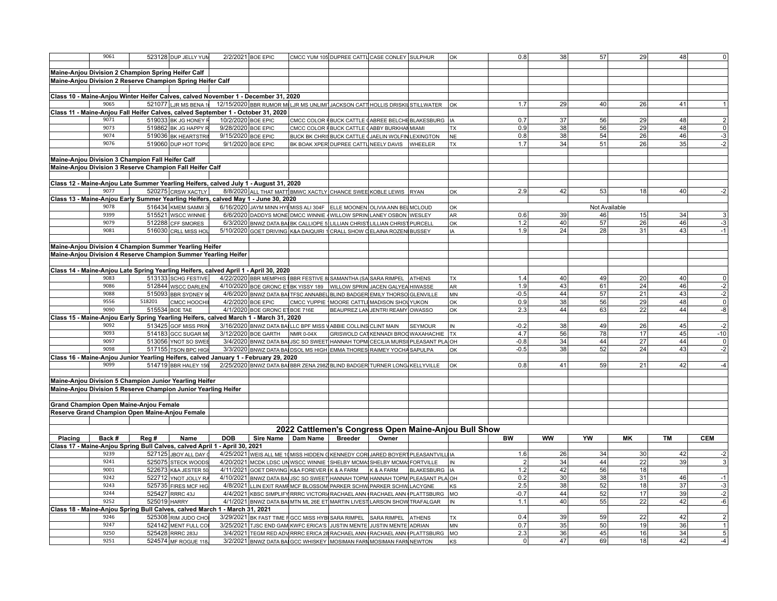|         | 9061                                                                                         |                | 523128 DUP JELLY YUM  |                    | 2/2/2021 BOE EPIC              |                                                                                                   | CMCC YUM 105 DUPREE CATTL CASE CONLEY SULPHUR      |                                  |                                                       | lок                                                  | 0.8            | 38              | 57            | 29              | 48        |                                                           |
|---------|----------------------------------------------------------------------------------------------|----------------|-----------------------|--------------------|--------------------------------|---------------------------------------------------------------------------------------------------|----------------------------------------------------|----------------------------------|-------------------------------------------------------|------------------------------------------------------|----------------|-----------------|---------------|-----------------|-----------|-----------------------------------------------------------|
|         |                                                                                              |                |                       |                    |                                |                                                                                                   |                                                    |                                  |                                                       |                                                      |                |                 |               |                 |           |                                                           |
|         | Maine-Anjou Division 2 Champion Spring Heifer Calf                                           |                |                       |                    |                                |                                                                                                   |                                                    |                                  |                                                       |                                                      |                |                 |               |                 |           |                                                           |
|         | Maine-Anjou Division 2 Reserve Champion Spring Heifer Calf                                   |                |                       |                    |                                |                                                                                                   |                                                    |                                  |                                                       |                                                      |                |                 |               |                 |           |                                                           |
|         |                                                                                              |                |                       |                    |                                |                                                                                                   |                                                    |                                  |                                                       |                                                      |                |                 |               |                 |           |                                                           |
|         | Class 10 - Maine-Anjou Winter Heifer Calves, calved November 1 - December 31, 2020           |                |                       |                    |                                |                                                                                                   |                                                    |                                  |                                                       |                                                      |                |                 |               |                 |           |                                                           |
|         | 9065                                                                                         |                |                       |                    |                                | 521077 LJR MS BENA 1 12/15/2020 BBR RUMOR MILJR MS UNLIMIT JACKSON CATT HOLLIS DRISKIL STILLWATER |                                                    |                                  |                                                       | lok                                                  | 1.7            | 29              | 40            | 26              | 41        |                                                           |
|         | Class 11 - Maine-Anjou Fall Heifer Calves, calved September 1 - October 31, 2020             |                |                       |                    |                                |                                                                                                   |                                                    |                                  |                                                       |                                                      |                |                 |               |                 |           |                                                           |
|         | 9071                                                                                         |                | 519033 BK JG HONEY R  | 10/2/2020 BOE EPIC |                                |                                                                                                   |                                                    |                                  | CMCC COLOR FBUCK CATTLE (ABREE BELCHE BLAKESBURG   IA |                                                      | 0.7            | 37              | 56            | 29              | 48        | $\overline{2}$                                            |
|         | 9073                                                                                         |                | 519862 BK JG HAPPY R  | 9/28/2020 BOE EPIC |                                |                                                                                                   | CMCC COLOR FBUCK CATTLE CABBY BURKHAN MIAMI        |                                  |                                                       | <b>TX</b>                                            | 0.9            | 38              | 56            | 29              | 48        | $\overline{\mathbf{0}}$                                   |
|         | 9074                                                                                         |                | 519036 BK HEARTSTRI   | 9/15/2020 BOE EPIC |                                |                                                                                                   | BUCK BK CHRIS BUCK CATTLE (JAELIN WOLFIN LEXINGTON |                                  |                                                       | NE                                                   | 0.8            | 38              | 54            | 26              | 46        | $-3$                                                      |
|         | 9076                                                                                         |                | 519060 DUP HOT TOPIO  |                    | 9/1/2020 BOE EPIC              |                                                                                                   | BK BOAK XPER DUPREE CATTL NEELY DAVIS WHEELER      |                                  |                                                       | l TX                                                 | 1.7            | 34              | 51            | 26              | 35        | $-2$                                                      |
|         |                                                                                              |                |                       |                    |                                |                                                                                                   |                                                    |                                  |                                                       |                                                      |                |                 |               |                 |           |                                                           |
|         | Maine-Anjou Division 3 Champion Fall Heifer Calf                                             |                |                       |                    |                                |                                                                                                   |                                                    |                                  |                                                       |                                                      |                |                 |               |                 |           |                                                           |
|         | Maine-Anjou Division 3 Reserve Champion Fall Heifer Calf                                     |                |                       |                    |                                |                                                                                                   |                                                    |                                  |                                                       |                                                      |                |                 |               |                 |           |                                                           |
|         |                                                                                              |                |                       |                    |                                |                                                                                                   |                                                    |                                  |                                                       |                                                      |                |                 |               |                 |           |                                                           |
|         |                                                                                              |                |                       |                    |                                |                                                                                                   |                                                    |                                  |                                                       |                                                      |                |                 |               |                 |           |                                                           |
|         | Class 12 - Maine-Anjou Late Summer Yearling Heifers, calved July 1 - August 31, 2020<br>9077 |                |                       |                    |                                |                                                                                                   |                                                    |                                  |                                                       |                                                      |                |                 |               |                 |           |                                                           |
|         |                                                                                              |                | 520275 CRSW XACTLY    |                    |                                | 8/8/2020 ALL THAT MATT BMWC XACTLY CHANCE SWEE KOBLE LEWIS RYAN                                   |                                                    |                                  |                                                       | lok                                                  | 2.9            | 42              | 53            | 18 <sup>1</sup> | 40        | $-2$                                                      |
|         | Class 13 - Maine-Anjou Early Summer Yearling Heifers, calved May 1 - June 30, 2020           |                |                       |                    |                                |                                                                                                   |                                                    |                                  |                                                       |                                                      |                |                 |               |                 |           |                                                           |
|         | 9078                                                                                         |                | 516434 KMEM SAMMI 3   |                    |                                | 6/16/2020 JAYM MINN HYEMISS ALI 304F ELLE MOONEN OLIVIA ANN BEL MCLOUD                            |                                                    |                                  |                                                       | lок                                                  |                |                 | Not Available |                 |           |                                                           |
|         | 9399                                                                                         |                | 515521 WSCC WINNIE    |                    |                                | 6/6/2020 DADDYS MONE DMCC WINNIE 4 WILLOW SPRIN LANEY OSBON WESLEY                                |                                                    |                                  |                                                       | l AR                                                 | 0.6            | 39              | 46            | 15              | 34        | $\mathsf 3$                                               |
|         | 9079                                                                                         |                | 512288 CFF SMORES     |                    |                                | 6/3/2020 BNWZ DATA BAI BK CALLIOPE 5 LILLIAN CHRIST LILLIAN CHRIST PURCELL                        |                                                    |                                  |                                                       | lок                                                  | 1.2            | 40              | 57            | 26              | 46        | $-3$                                                      |
|         | 9081                                                                                         |                | 516030 CRLL MISS HOL  |                    |                                | 5/10/2020 GOET DRIVING K&A DAIQUIRI 1 CRALL SHOW C ELAINA ROZEN BUSSEY                            |                                                    |                                  |                                                       | l IA                                                 | 1.9            | 24              | 28            | 31              | 43        | $-1$                                                      |
|         |                                                                                              |                |                       |                    |                                |                                                                                                   |                                                    |                                  |                                                       |                                                      |                |                 |               |                 |           |                                                           |
|         | Maine-Anjou Division 4 Champion Summer Yearling Heifer                                       |                |                       |                    |                                |                                                                                                   |                                                    |                                  |                                                       |                                                      |                |                 |               |                 |           |                                                           |
|         | Maine-Anjou Division 4 Reserve Champion Summer Yearling Heifer                               |                |                       |                    |                                |                                                                                                   |                                                    |                                  |                                                       |                                                      |                |                 |               |                 |           |                                                           |
|         |                                                                                              |                |                       |                    |                                |                                                                                                   |                                                    |                                  |                                                       |                                                      |                |                 |               |                 |           |                                                           |
|         | Class 14 - Maine-Anjou Late Spring Yearling Heifers, calved April 1 - April 30, 2020         |                |                       |                    |                                |                                                                                                   |                                                    |                                  |                                                       |                                                      |                |                 |               |                 |           |                                                           |
|         | 9083                                                                                         |                | 513133 SCHG FESTIVE   |                    |                                | 4/22/2020 BBR MEMPHIS BBR FESTIVE 8 SAMANTHA (SA SARA RIMPEL ATHENS                               |                                                    |                                  |                                                       | l TX                                                 | 1.4            | 40              | 49            | 20              | 40        | $\overline{0}$                                            |
|         | 9086                                                                                         |                | 512844 WSCC DARLEN    |                    |                                | 4/10/2020 BOE GRONC ET BK YISSY 189   WILLOW SPRIN JACEN GALYEA HIWASSE                           |                                                    |                                  |                                                       | AR                                                   | 1.9            | 43              | 61            | 24              | 46        |                                                           |
|         | 9088                                                                                         |                | 515093 BBR SYDNEY 9   |                    |                                | 4/6/2020 BNWZ DATA BAI TFSC ANNABEL BLIND BADGER EMILY THORSO GLENVILLE                           |                                                    |                                  |                                                       | <b>MN</b>                                            | $-0.5$         | 44              | 57            | $\overline{21}$ | 43        | $\begin{array}{r} -2 \\ -2 \\ \hline 0 \\ -8 \end{array}$ |
|         | 9556                                                                                         | 518201         | смсс ноосні           |                    | 4/2/2020 BOE EPIC              | CMCC YUPPIE 1MOORE CATTLE MADISON SHOU YUKON                                                      |                                                    |                                  |                                                       | lок                                                  | 0.9            | 38              | 56            | 29              | 48        |                                                           |
|         | 9090                                                                                         | 515534 BOE TAE |                       |                    | 4/1/2020 BOE GRONC ET BOE 716E |                                                                                                   |                                                    | BEAUPREZ LAN JENTRI REAMY OWASSO |                                                       | lок                                                  | 2.3            | 44              | 63            | 22              | 44        |                                                           |
|         | Class 15 - Maine-Anjou Early Spring Yearling Heifers, calved March 1 - March 31, 2020        |                |                       |                    |                                |                                                                                                   |                                                    |                                  |                                                       |                                                      |                |                 |               |                 |           |                                                           |
|         | 9092                                                                                         |                | 513425 GOF MISS PRIN  |                    |                                | 3/16/2020 BNWZ DATA BALLLC BPF MISS VABBIE COLLINS CLINT MAIN                                     |                                                    |                                  | <b>SEYMOUR</b>                                        | İIN                                                  | $-0.2$         | $\overline{38}$ | 49            | 26              | 45        | $-2$                                                      |
|         | 9093                                                                                         |                | 514183 GCC SUGAR M    |                    | 3/12/2020 BOE GARTH            | NMR 0-04X                                                                                         |                                                    |                                  | GRISWOLD CAT KENNADI BROG WAXAHACHIE                  | <b>TX</b>                                            | 4.7            | 56              | 78            | 17              | 45        | $-10$                                                     |
|         | 9097                                                                                         |                | 513056 YNOT SO SWEE   |                    |                                | 3/4/2020 BNWZ DATA BAL JSC SO SWEET HANNAH TOPM CECILIA MURSIL PLEASANT PLA OH                    |                                                    |                                  |                                                       |                                                      | $-0.8$         | 34              | 44            | 27              | 44        | $\pmb{0}$                                                 |
|         | 9098                                                                                         |                | 517155 TSON BPC HIGH  |                    |                                | 3/3/2020 BNWZ DATA BA DSOL MS HIGH EMMA THORES RAIMEY YOCHA SAPULPA                               |                                                    |                                  |                                                       | lок                                                  | $-0.5$         | 38              | 52            | 24              | 43        | $-2$                                                      |
|         | Class 16 - Maine-Anjou Junior Yearling Heifers, calved January 1 - February 29, 2020         |                |                       |                    |                                |                                                                                                   |                                                    |                                  |                                                       |                                                      |                |                 |               |                 |           |                                                           |
|         | 9099                                                                                         |                | 514719 BBR HALEY 156  |                    |                                | 2/25/2020 BNWZ DATA BAI BBR ZENA 2982 BLIND BADGER TURNER LONG KELLYVILLE                         |                                                    |                                  |                                                       | lок                                                  | 0.8            | 41              | 59            | 21              | 42        | $-4$                                                      |
|         |                                                                                              |                |                       |                    |                                |                                                                                                   |                                                    |                                  |                                                       |                                                      |                |                 |               |                 |           |                                                           |
|         | Maine-Anjou Division 5 Champion Junior Yearling Heifer                                       |                |                       |                    |                                |                                                                                                   |                                                    |                                  |                                                       |                                                      |                |                 |               |                 |           |                                                           |
|         | Maine-Anjou Division 5 Reserve Champion Junior Yearling Heifer                               |                |                       |                    |                                |                                                                                                   |                                                    |                                  |                                                       |                                                      |                |                 |               |                 |           |                                                           |
|         |                                                                                              |                |                       |                    |                                |                                                                                                   |                                                    |                                  |                                                       |                                                      |                |                 |               |                 |           |                                                           |
|         | <b>Grand Champion Open Maine-Anjou Female</b>                                                |                |                       |                    |                                |                                                                                                   |                                                    |                                  |                                                       |                                                      |                |                 |               |                 |           |                                                           |
|         | Reserve Grand Champion Open Maine-Anjou Female                                               |                |                       |                    |                                |                                                                                                   |                                                    |                                  |                                                       |                                                      |                |                 |               |                 |           |                                                           |
|         |                                                                                              |                |                       |                    |                                |                                                                                                   |                                                    |                                  |                                                       |                                                      |                |                 |               |                 |           |                                                           |
|         |                                                                                              |                |                       |                    |                                |                                                                                                   |                                                    |                                  |                                                       |                                                      |                |                 |               |                 |           |                                                           |
|         |                                                                                              |                |                       |                    |                                |                                                                                                   |                                                    |                                  |                                                       | 2022 Cattlemen's Congress Open Maine-Anjou Bull Show |                |                 |               |                 |           |                                                           |
| Placing | Back #                                                                                       | Reg #          | Name                  | <b>DOB</b>         |                                | Sire Name Dam Name                                                                                | <b>Breeder</b>                                     | Owner                            |                                                       |                                                      | <b>BW</b>      | <b>WW</b>       | YW            | MK              | <b>TM</b> | <b>CEM</b>                                                |
|         | Class 17 - Maine-Anjou Spring Bull Calves, calved April 1 - April 30, 2021                   |                |                       |                    |                                |                                                                                                   |                                                    |                                  |                                                       |                                                      |                |                 |               |                 |           |                                                           |
|         | 9239                                                                                         |                | 527125 JBOY ALL DAY d |                    |                                | 4/25/2021 WEIS ALL ME 10 MISS HIDDEN G KENNEDY COR JARED BOYERT PLEASANTVILL IA                   |                                                    |                                  |                                                       |                                                      | 1.6            | 26              | 34            | 30              | 42        | $-2$                                                      |
|         | 9241                                                                                         |                | 525075 STECK WOODS    |                    |                                | 4/20/2021 MCDK LDSC UNWSCC WINNIE SHELBY MCMASHELBY MCMASFORTVILLE                                |                                                    |                                  |                                                       | <b>IN</b>                                            | $\overline{2}$ | 34              | 44            | 22              | 39        | $\overline{3}$                                            |
|         | 9001                                                                                         |                | 522673 K&A JESTER 50  |                    |                                | 4/11/2021 GOET DRIVING K&A FOREVER K & A FARM                                                     |                                                    | K&AFARM                          | BLAKESBURG   IA                                       |                                                      | 1.2            | 42              | 56            | 18              |           |                                                           |
|         | 9242                                                                                         |                | 522712 YNOT JOLLY RA  |                    |                                | 4/10/2021 BNWZ DATA BAI JSC SO SWEET HANNAH TOPM HANNAH TOPM PLEASANT PLA OH                      |                                                    |                                  |                                                       |                                                      | 0.2            | 30 <sup>1</sup> | 38            | 31              | 46        | $-1$                                                      |
|         | 9243                                                                                         |                | 525735 FIRES MCF HIG  |                    |                                | 4/8/2021 LLIN EXIT RAMF MCF BLOSSOM PARKER SCHW PARKER SCHW LACYGNE                               |                                                    |                                  |                                                       | <b>KS</b>                                            | 2.5            | 38              | 52            | 18              | 37        | $-3$                                                      |
|         | 9244                                                                                         |                | 525427 RRRC 43J       |                    |                                | 4/4/2021 KBSC SIMPLIFY RRRC VICTORIA RACHAEL ANN RACHAEL ANN PLATTSBURG MO                        |                                                    |                                  |                                                       |                                                      | $-0.7$         | 44              | 52            | 17              | 39        | $-2$                                                      |
|         | 9252                                                                                         | 525019 HARRY   |                       |                    |                                | 4/1/2021 BNWZ DATA BA MTN ML 26E ET MARTIN LIVEST LARSON SHOW TRAFALGAR                           |                                                    |                                  |                                                       | İIN                                                  | 1.1            | 40              | 55            | $\overline{22}$ | 42        | $-6$                                                      |
|         | Class 18 - Maine-Anjou Spring Bull Calves, calved March 1 - March 31, 2021                   |                |                       |                    |                                |                                                                                                   |                                                    |                                  |                                                       |                                                      |                |                 |               |                 |           |                                                           |
|         | 9246                                                                                         |                | 525308 RIM JUDO CHO   |                    |                                | 3/29/2021 BK FAST TIME F GCC MISS HYB SARA RIMPEL SARA RIMPEL                                     |                                                    |                                  | <b>ATHENS</b>                                         | <b>TX</b>                                            | 0.4            | 39              | 59            | 22              | 42        | $\overline{2}$                                            |
|         | 9247                                                                                         |                | 524142 MENT FULL CO   |                    |                                | 3/25/2021 TJSC END GAM KWFC ERICA'S JUSTIN MENTE JUSTIN MENTE ADRIAN                              |                                                    |                                  |                                                       | <b>MN</b>                                            | 0.7            | 35              | 50            | 19              | 36        | $\overline{1}$                                            |
|         | 9250                                                                                         |                | 525428 RRRC 283J      |                    |                                | 3/4/2021 TEGM RED ADV RRRC ERICA 28 RACHAEL ANN (RACHAEL ANN (PLATTSBURG                          |                                                    |                                  |                                                       | MO                                                   | 2.3            | 36              | 45            | 16              | 34        | $\overline{5}$                                            |
|         | 9251                                                                                         |                | 524574 MF ROGUE 118.  |                    |                                | 3/2/2021 BNWZ DATA BAI GCC WHISKEY MOSIMAN FARM MOSIMAN FARM NEWTON                               |                                                    |                                  |                                                       | ks                                                   | 0              | 47              | 69            | 18              | 42        | $-4$                                                      |
|         |                                                                                              |                |                       |                    |                                |                                                                                                   |                                                    |                                  |                                                       |                                                      |                |                 |               |                 |           |                                                           |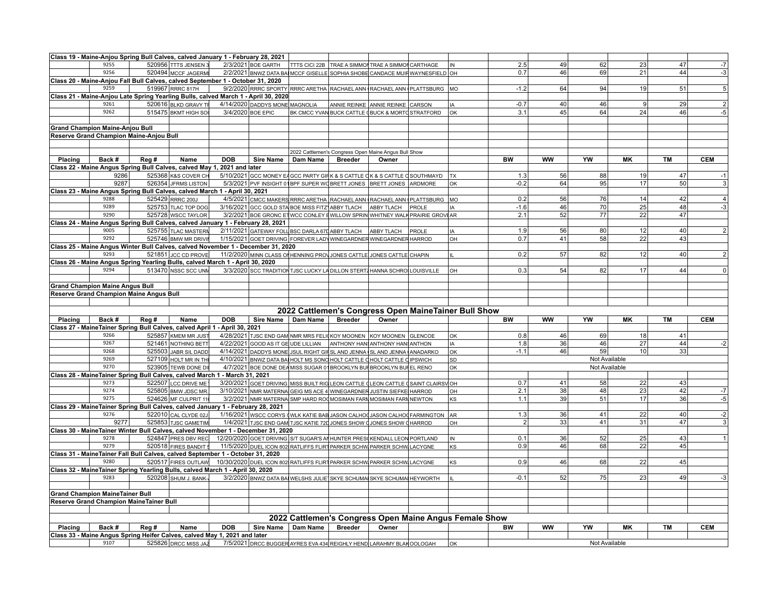|         |                                         |       | Class 19 - Maine-Anjou Spring Bull Calves, calved January 1 - February 28, 2021                   |                   |                                |                                                                                  |                |                                  |                                                        |           |           |               |                 |           |                         |
|---------|-----------------------------------------|-------|---------------------------------------------------------------------------------------------------|-------------------|--------------------------------|----------------------------------------------------------------------------------|----------------|----------------------------------|--------------------------------------------------------|-----------|-----------|---------------|-----------------|-----------|-------------------------|
|         | 9255                                    |       | 520956 TTTS JENSEN 3                                                                              |                   | 2/3/2021 BOE GARTH             | <b>TTTS CICI 22B TRAE A SIMMON TRAE A SIMMON CARTHAGE</b>                        |                |                                  | İIN                                                    | 2.5       | 49        | 62            | 23              | 47        | $-7$                    |
|         | 9256                                    |       | 520494 MCCF JAGERMI                                                                               |                   |                                | 2/2/2021 BNWZ DATA BAI MCCF GISELLE SOPHIA SHOBE CANDACE MUIN WAYNESFIELD OH     |                |                                  |                                                        | 0.7       | 46        | 69            | 21              | 44        | -3                      |
|         |                                         |       | Class 20 - Maine-Anjou Fall Bull Calves, calved September 1 - October 31, 2020                    |                   |                                |                                                                                  |                |                                  |                                                        |           |           |               |                 |           |                         |
|         | 9259                                    |       | 519967 RRRC 817H                                                                                  |                   |                                | 9/2/2020 RRRC SPORTY RRRC ARETHA RACHAEL ANN (RACHAEL ANN (PLATTSBURG MO         |                |                                  |                                                        | $-1.2$    | 64        | 94            | 19 <sup>1</sup> | 51        | 5                       |
|         |                                         |       | Class 21 - Maine-Anjou Late Spring Yearling Bulls, calved March 1 - April 30, 2020                |                   |                                |                                                                                  |                |                                  |                                                        |           |           |               |                 |           |                         |
|         | 9261                                    |       | 520616 BLKD GRAVY TR                                                                              |                   | 4/14/2020 DADDYS MONE MAGNOLIA |                                                                                  |                | ANNIE REINKE ANNIE REINKE CARSON | IA                                                     | $-0.7$    | 40        | 46            | $\vert 9 \vert$ | 29        | $\overline{\mathbf{c}}$ |
|         | 9262                                    |       | 515475 BKMT HIGH SO                                                                               | 3/4/2020 BOE EPIC |                                |                                                                                  |                |                                  | lok                                                    | 3.1       | 45        | 64            | 24              | 46        | $-5$                    |
|         |                                         |       |                                                                                                   |                   |                                | BK CMCC YVAN BUCK CATTLE (BUCK & MORTO STRATFORD                                 |                |                                  |                                                        |           |           |               |                 |           |                         |
|         |                                         |       |                                                                                                   |                   |                                |                                                                                  |                |                                  |                                                        |           |           |               |                 |           |                         |
|         | <b>Grand Champion Maine-Anjou Bull</b>  |       |                                                                                                   |                   |                                |                                                                                  |                |                                  |                                                        |           |           |               |                 |           |                         |
|         | Reserve Grand Champion Maine-Anjou Bull |       |                                                                                                   |                   |                                |                                                                                  |                |                                  |                                                        |           |           |               |                 |           |                         |
|         |                                         |       |                                                                                                   |                   |                                |                                                                                  |                |                                  |                                                        |           |           |               |                 |           |                         |
|         |                                         |       |                                                                                                   |                   |                                | 2022 Cattlemen's Congress Open Maine Angus Bull Show                             |                |                                  |                                                        |           |           |               |                 |           |                         |
| Placing | Back #                                  | Reg # | Name                                                                                              | <b>DOB</b>        | <b>Sire Name</b>               | Dam Name                                                                         | <b>Breeder</b> | Owner                            |                                                        | BW        | <b>WW</b> | YW            | MK              | TM        | <b>CEM</b>              |
|         |                                         |       | Class 22 - Maine Angus Spring Bull Calves, calved May 1, 2021 and later                           |                   |                                |                                                                                  |                |                                  |                                                        |           |           |               |                 |           |                         |
|         | 9286                                    |       | 525368 K&S COVER CH                                                                               |                   |                                | 5/10/2021 GCC MONEY EAGCC PARTY GIRK & S CATTLE OK & S CATTLE OSOUTHMAYD         |                |                                  | $\mathsf{L}$                                           | 1.3       | 56        | 88            | 19              | 47        | $-1$                    |
|         | 9287                                    |       | 526354 JFRMS LISTON                                                                               |                   |                                | 5/3/2021 PVF INSIGHT 01 BPF SUPER WO BRETT JONES BRETT JONES ARDMORE             |                |                                  | lок                                                    | $-0.2$    | 64        | 95            | 17              | 50        |                         |
|         |                                         |       | Class 23 - Maine Angus Spring Bull Calves, calved March 1 - April 30, 2021                        |                   |                                |                                                                                  |                |                                  |                                                        |           |           |               |                 |           |                         |
|         | 9288                                    |       | 525429 RRRC 200J                                                                                  |                   |                                | 4/5/2021 CMCC MAKERS RRRC ARETHA RACHAEL ANN (RACHAEL ANN PLATTSBURG MO          |                |                                  |                                                        | 0.2       | 56        | 76            | 14              | 42        | $\overline{4}$          |
|         | 9289                                    |       | 525753 TLAC TOP DOG                                                                               |                   |                                | 3/16/2021 GCC GOLD STA BOE MISS FITZ ABBY TLACH ABBY TLACH PROLE                 |                |                                  | İIA                                                    | $-1.6$    | 46        | 70            | 25              | 48        | $-3$                    |
|         | 9290                                    |       | 525728 WSCC TAYLOR                                                                                |                   |                                | 3/2/2021 BOE GRONC ET WCC CONLEY EWILLOW SPRIN WHITNEY WALK PRAIRIE GROVEAR      |                |                                  |                                                        | 2.1       | 52        | 77            | 22              | 47        |                         |
|         |                                         |       | Class 24 - Maine Angus Spring Bull Calves, calved January 1 - February 28, 2021                   |                   |                                |                                                                                  |                |                                  |                                                        |           |           |               |                 |           |                         |
|         | 9005                                    |       | 525755 TLAC MASTERN                                                                               |                   |                                | 2/11/2021 GATEWAY FOLL BSC DARLA 67D ABBY TLACH ABBY TLACH PROLE                 |                |                                  | IA                                                     | 1.9       | 56        | 80            | 12              | 40        | $\overline{2}$          |
|         | 9292                                    |       | 525746 BMW MR DRIVIN                                                                              |                   |                                | 1/15/2021 GOET DRIVING FOREVER LADY WINEGARDNER WINEGARDNER HARROD               |                |                                  | lон                                                    | 0.7       | 41        | 58            | 22              | 43        |                         |
|         |                                         |       | Class 25 - Maine Angus Winter Bull Calves, calved November 1 - December 31, 2020                  |                   |                                |                                                                                  |                |                                  |                                                        |           |           |               |                 |           |                         |
|         | 9293                                    |       | 521851 JCC CD PROVE                                                                               |                   |                                | 11/2/2020 MINN CLASS OF HENNING PROVJONES CATTLE JONES CATTLE CHAPIN             |                |                                  |                                                        | 0.2       | 57        | 82            | 12              | 40        | $\overline{2}$          |
|         |                                         |       | Class 26 - Maine Angus Spring Yearling Bulls, calved March 1 - April 30, 2020                     |                   |                                |                                                                                  |                |                                  |                                                        |           |           |               |                 |           |                         |
|         | 9294                                    |       | 513470 NSSC SCC UNM                                                                               |                   |                                | 3/3/2020 SCC TRADITION TJSC LUCKY LA DILLON STERT4 HANNA SCHROLOUISVILLE         |                |                                  | lон                                                    | 0.3       | 54        | 82            | 17              | 44        | $\Omega$                |
|         |                                         |       |                                                                                                   |                   |                                |                                                                                  |                |                                  |                                                        |           |           |               |                 |           |                         |
|         | <b>Grand Champion Maine Angus Bull</b>  |       |                                                                                                   |                   |                                |                                                                                  |                |                                  |                                                        |           |           |               |                 |           |                         |
|         | Reserve Grand Champion Maine Angus Bull |       |                                                                                                   |                   |                                |                                                                                  |                |                                  |                                                        |           |           |               |                 |           |                         |
|         |                                         |       |                                                                                                   |                   |                                |                                                                                  |                |                                  |                                                        |           |           |               |                 |           |                         |
|         |                                         |       |                                                                                                   |                   |                                |                                                                                  |                |                                  |                                                        |           |           |               |                 |           |                         |
|         |                                         |       |                                                                                                   |                   |                                |                                                                                  |                |                                  |                                                        |           |           |               |                 |           |                         |
|         |                                         |       |                                                                                                   |                   |                                |                                                                                  |                |                                  | 2022 Cattlemen's Congress Open MaineTainer Bull Show   |           |           |               |                 |           |                         |
| Placing | Back #                                  | Reg # | Name                                                                                              | <b>DOB</b>        | Sire Name   Dam Name           |                                                                                  | <b>Breeder</b> | Owner                            |                                                        | <b>BW</b> | <b>WW</b> | YW            | <b>MK</b>       | <b>TM</b> | <b>CEM</b>              |
|         |                                         |       | Class 27 - MaineTainer Spring Bull Calves, calved April 1 - April 30, 2021                        |                   |                                |                                                                                  |                |                                  |                                                        |           |           |               |                 |           |                         |
|         | 9266                                    |       | 525857 KMEM MR JUST                                                                               |                   |                                | 4/28/2021 TJSC END GAM NMR MRS FELIC KOY MOONEN KOY MOONEN GLENCOE               |                |                                  | lок                                                    | 0.8       | 46        | 69            | 18              | 41        |                         |
|         | 9267                                    |       | 521461 NOTHING BETT                                                                               |                   |                                | 4/22/2021 GOOD AS IT GE UDE LILLIAN ANTHONY HAN ANTHONY HAN ANTHON               |                |                                  | l IA                                                   | 1.8       | 36        | 46            | 27              | 44        | $-2$                    |
|         | 9268                                    |       | 525503 JABR SIL DADD                                                                              |                   |                                | 4/14/2021 DADDYS MONE JSUL RIGHT GIFSL AND JENNA SL AND JENNA ANADARKO           |                |                                  | lок                                                    | $-1.1$    | 46        | 59            | 10 <sup>1</sup> | 33        |                         |
|         | 9269                                    |       | 527109 HOLT MR IN THE                                                                             |                   |                                | 4/10/2021 BNWZ DATA BA HOLT MS SONO HOLT CATTLE CHOLT CATTLE CIPSWICH            |                |                                  | <b>SD</b>                                              |           |           | Not Available |                 |           |                         |
|         | 9270                                    |       | 523905 TEWB DONE DI                                                                               |                   |                                | 4/7/2021 BOE DONE DEA MISS SUGAR 01 BROOKLYN BUI BROOKLYN BUI EL RENO            |                |                                  | lок                                                    |           |           | Not Available |                 |           |                         |
|         |                                         |       | Class 28 - Maine Tainer Spring Bull Calves, calved March 1 - March 31, 2021                       |                   |                                |                                                                                  |                |                                  |                                                        |           |           |               |                 |           |                         |
|         | 9273                                    |       | 522507 LCC DRIVE ME                                                                               |                   |                                | 3/20/2021 GOET DRIVING MISS BUILT RIG LEON CATTLE CLEON CATTLE (SAINT CLAIRSV OH |                |                                  |                                                        | 0.7       | 41        | 58            | 22              | 43        |                         |
|         | 9274                                    |       | 525805 BMW JDSC MR.                                                                               |                   |                                | 3/10/2021 NMR MATERNA GEIG MS ACE 4 WINEGARDNER JUSTIN SIEFKE HARROD             |                |                                  | OH                                                     | 2.1       | 38        | 48            | 23              | 42        | $-7$                    |
|         | 9275                                    |       | 524626 MF CULPRIT 11                                                                              |                   |                                | 3/2/2021 NMR MATERNA SMP HARD ROOMOSIMAN FARM MOSIMAN FARM NEWTON                |                |                                  | ks                                                     | 1.1       | 39        | 51            | 17              | 36        | $-5$                    |
|         |                                         |       | Class 29 - MaineTainer Spring Bull Calves, calved January 1 - February 28, 2021                   |                   |                                |                                                                                  |                |                                  |                                                        |           |           |               |                 |           |                         |
|         | 9276                                    |       | 522010 CAL CLYDE 02J                                                                              |                   |                                |                                                                                  |                |                                  |                                                        | 1.3       | 36        | 41            | 22              | 40        | $-2$                    |
|         | 9277                                    |       |                                                                                                   |                   |                                | 1/16/2021 WSCC CORYS (WLK KATIE BAB JASON CALHO (JASON CALHO FARMINGTON AR       |                |                                  | lон                                                    | 2         |           | 41            | 31              | 47        | 3                       |
|         |                                         |       | 525853 TJSC GAMETIM                                                                               |                   |                                | 1/4/2021 TJSC END GAM TJSC KATIE 72D JONES SHOW JJONES SHOW CHARROD              |                |                                  |                                                        |           | 33        |               |                 |           |                         |
|         |                                         |       | Class 30 - MaineTainer Winter Bull Calves, calved November 1 - December 31, 2020                  |                   |                                |                                                                                  |                |                                  |                                                        |           |           |               |                 |           |                         |
|         | 9278<br>9279                            |       | 524847 PRES DBV REC                                                                               |                   |                                | 12/20/2020 GOET DRIVING S/T SUGAR'S AN HUNTER PRESO KENDALL LEON PORTLAND        |                |                                  | IN.                                                    | 0.1       | 36        | 52            | 25              | 43        |                         |
|         |                                         |       | 520518 FIRES BANDIT §                                                                             |                   |                                | 11/5/2020 DUEL ICON 802 RATLIFFS FLIRT PARKER SCHW PARKER SCHW LACYGNE           |                |                                  | ks                                                     | 0.9       | 46        | 68            | 22              | 45        |                         |
|         |                                         |       | Class 31 - MaineTainer Fall Bull Calves, calved September 1 - October 31, 2020                    |                   |                                |                                                                                  |                |                                  |                                                        |           |           |               |                 |           |                         |
|         | 9280                                    |       | 520517 FIRES OUTLAW                                                                               |                   |                                | 10/30/2020 DUEL ICON 802 RATLIFFS FLIRT PARKER SCHW PARKER SCHW LACYGNE          |                |                                  | KS                                                     | 0.9       | 46        | 68            | 22              | 45        |                         |
|         |                                         |       | Class 32 - MaineTainer Spring Yearling Bulls, calved March 1 - April 30, 2020                     |                   |                                |                                                                                  |                |                                  |                                                        |           |           |               |                 |           |                         |
|         | 9283                                    |       | 520208 SHUM J. BANK-                                                                              |                   |                                | 3/2/2020 BNWZ DATA BA WELSHS JULIE SKYE SCHUMA SKYE SCHUMA HEYWORTH              |                |                                  | lш                                                     | $-0.1$    | 52        | 75            | 23              | 49        | -3                      |
|         |                                         |       |                                                                                                   |                   |                                |                                                                                  |                |                                  |                                                        |           |           |               |                 |           |                         |
|         | <b>Grand Champion MaineTainer Bull</b>  |       |                                                                                                   |                   |                                |                                                                                  |                |                                  |                                                        |           |           |               |                 |           |                         |
|         | Reserve Grand Champion MaineTainer Bull |       |                                                                                                   |                   |                                |                                                                                  |                |                                  |                                                        |           |           |               |                 |           |                         |
|         |                                         |       |                                                                                                   |                   |                                |                                                                                  |                |                                  |                                                        |           |           |               |                 |           |                         |
|         |                                         |       |                                                                                                   |                   |                                |                                                                                  |                |                                  | 2022 Cattlemen's Congress Open Maine Angus Female Show |           |           |               |                 |           |                         |
| Placing | Back #                                  | Reg # | Name                                                                                              | <b>DOB</b>        | <b>Sire Name</b>               | Dam Name                                                                         | <b>Breeder</b> | Owner                            |                                                        | BW        | <b>WW</b> | YW            | <b>MK</b>       | <b>TM</b> | <b>CEM</b>              |
|         | 9107                                    |       | Class 33 - Maine Angus Spring Heifer Calves, calved May 1, 2021 and later<br>525826 DRCC MISS JAZ |                   |                                | 7/5/2021 DRCC BUGGER AYRES EVA 434 REIGHLY HEND LARAHMY BLAK OOLOGAH             |                |                                  | lок                                                    |           |           | Not Available |                 |           |                         |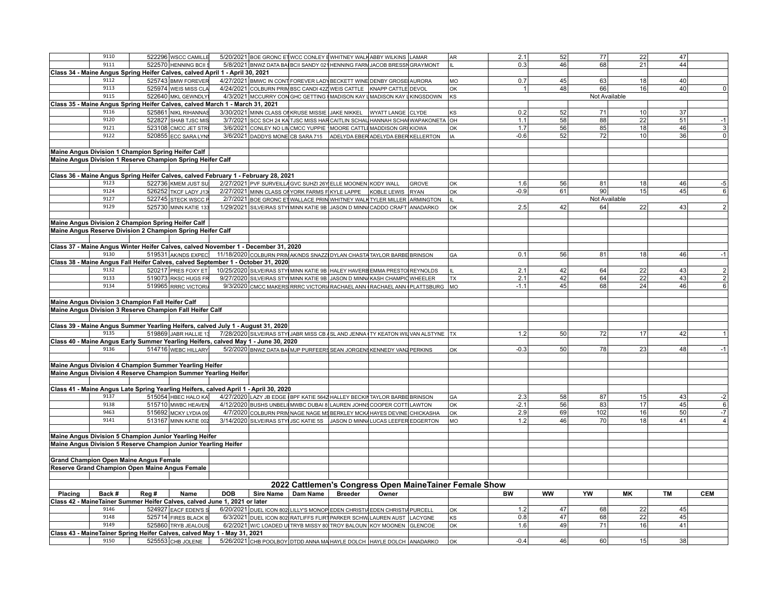|         | 9110                                             |                                                                                      | 522296 WSCC CAMILLE   |            | 5/20/2021 BOE GRONC ET WCC CONLEY EWHITNEY WALK ABBY WILKINS LAMAR                        |                |       |              | AR                                                     | 2.1    | 52        | 77              | 22              | 47              |                                |
|---------|--------------------------------------------------|--------------------------------------------------------------------------------------|-----------------------|------------|-------------------------------------------------------------------------------------------|----------------|-------|--------------|--------------------------------------------------------|--------|-----------|-----------------|-----------------|-----------------|--------------------------------|
|         | 9111                                             |                                                                                      |                       |            |                                                                                           |                |       |              |                                                        |        | 46        |                 | $\overline{21}$ | 44              |                                |
|         |                                                  |                                                                                      | 522570 HENNING BCIIS  |            | 5/8/2021 BNWZ DATA BA BCII SANDY 021 HENNING FARM JACOB BRESSN GRAYMONT                   |                |       |              | Iщ.                                                    | 0.3    |           | 68              |                 |                 |                                |
|         |                                                  | Class 34 - Maine Angus Spring Heifer Calves, calved April 1 - April 30, 2021         |                       |            |                                                                                           |                |       |              |                                                        |        |           |                 |                 |                 |                                |
|         | 9112                                             |                                                                                      | 525743 BMW FOREVER    |            | 4/27/2021 BMWC IN CONT FOREVER LADY BECKETT WINE DENBY GROSE AURORA                       |                |       |              | lмо                                                    | 0.7    | 45        | 63              | 18              | 40              |                                |
|         | 9113                                             |                                                                                      | 525974 WEIS MISS CLA  |            | 4/24/2021 COLBURN PRIM BSC CANDI 42Z WEIS CATTLE KNAPP CATTLE DEVOL                       |                |       |              | oĸ                                                     | 1      | 48        | 66              | 16 <sup>1</sup> | 40              | $\Omega$                       |
|         | 9115                                             |                                                                                      |                       |            |                                                                                           |                |       |              |                                                        |        |           |                 |                 |                 |                                |
|         |                                                  |                                                                                      | 522640 MKL GEWNDLY    |            | 4/3/2021 MCCURRY CON GHC GETTING MADISON KAY LMADISON KAY LKINGSDOWN                      |                |       |              | lks                                                    |        |           |                 | Not Available   |                 |                                |
|         |                                                  | Class 35 - Maine Angus Spring Heifer Calves, calved March 1 - March 31, 2021         |                       |            |                                                                                           |                |       |              |                                                        |        |           |                 |                 |                 |                                |
|         | 9116                                             |                                                                                      | 525861 NIKL RIHANNAS  |            | 3/30/2021 MINN CLASS ON KRUSE MISSIE JAKE NIKKEL WYATT LANGE CLYDE                        |                |       |              | ks                                                     | 0.2    | 52        | 71              | 10              | 37              |                                |
|         | 9120                                             |                                                                                      | 522827 SHAB TJSC MIS  |            | 3/7/2021 SCC SCH 24 KA TJSC MISS HAR CAITLIN SCHAU HANNAH SCHAI WAPAKONETA OH             |                |       |              |                                                        | 1.1    | 58        | 88              | 22              | 51              | $-1$                           |
|         | 9121                                             |                                                                                      |                       |            |                                                                                           |                |       |              |                                                        |        |           |                 |                 |                 |                                |
|         |                                                  |                                                                                      | 523108 CMCC JET STR   |            | 3/6/2021 CONLEY NO LINCMCC YUPPIE MOORE CATTLE MADDISON GRI KIOWA                         |                |       |              | lок                                                    | 1.7    | 56        | 85              | 18              | 46              | 3                              |
|         | 9122                                             |                                                                                      | 520855 ECC SARA LYNI  |            | 3/6/2021 DADDYS MONE CB SARA 715 ADELYDA EBER ADELYDA EBER KELLERTON                      |                |       |              | IA                                                     | $-0.6$ | 52        | 72              | 10              | 36              | $\mathbf 0$                    |
|         |                                                  |                                                                                      |                       |            |                                                                                           |                |       |              |                                                        |        |           |                 |                 |                 |                                |
|         |                                                  | Maine Angus Division 1 Champion Spring Heifer Calf                                   |                       |            |                                                                                           |                |       |              |                                                        |        |           |                 |                 |                 |                                |
|         |                                                  |                                                                                      |                       |            |                                                                                           |                |       |              |                                                        |        |           |                 |                 |                 |                                |
|         |                                                  | Maine Angus Division 1 Reserve Champion Spring Heifer Calf                           |                       |            |                                                                                           |                |       |              |                                                        |        |           |                 |                 |                 |                                |
|         |                                                  |                                                                                      |                       |            |                                                                                           |                |       |              |                                                        |        |           |                 |                 |                 |                                |
|         |                                                  | Class 36 - Maine Angus Spring Heifer Calves, calved February 1 - February 28, 2021   |                       |            |                                                                                           |                |       |              |                                                        |        |           |                 |                 |                 |                                |
|         | 9123                                             |                                                                                      | 522736 KMEM JUST SU   |            | 2/27/2021 PVF SURVEILLA GVC SUHZI 26Y ELLE MOONEN KODY WALL                               |                |       | <b>GROVE</b> | lок                                                    | 1.6    | 56        | 81              | 18 <sup>1</sup> | 46              | $-5$                           |
|         | 9124                                             |                                                                                      |                       |            |                                                                                           |                |       |              |                                                        |        |           |                 |                 |                 |                                |
|         |                                                  |                                                                                      | 526252 TKCF LADY J13  |            | 2/27/2021 MINN CLASS OF YORK FARMS FIKYLE LAPPE KOBLE LEWIS                               |                |       | RYAN         | lок                                                    | $-0.9$ | 61        | 90              | 15              | 45              | 6                              |
|         | 9127                                             |                                                                                      | 522745 STECK WSCC P   |            | 2/7/2021 BOE GRONC ET WALLACE PRIN WHITNEY WALK TYLER MILLER ARMINGTON                    |                |       |              | Ìщ                                                     |        |           |                 | Not Available   |                 |                                |
|         | 9129                                             |                                                                                      | 525730 MINN KATIE 133 |            | 1/29/2021 SILVEIRAS STY MINN KATIE 9B JASON D MINN CADDO CRAFT ANADARKO                   |                |       |              | lок                                                    | 2.5    | 42        | 64              | 22              | 43 <sub>1</sub> | $\overline{2}$                 |
|         |                                                  |                                                                                      |                       |            |                                                                                           |                |       |              |                                                        |        |           |                 |                 |                 |                                |
|         |                                                  |                                                                                      |                       |            |                                                                                           |                |       |              |                                                        |        |           |                 |                 |                 |                                |
|         |                                                  | Maine Angus Division 2 Champion Spring Heifer Calf                                   |                       |            |                                                                                           |                |       |              |                                                        |        |           |                 |                 |                 |                                |
|         |                                                  | Maine Angus Reserve Division 2 Champion Spring Heifer Calf                           |                       |            |                                                                                           |                |       |              |                                                        |        |           |                 |                 |                 |                                |
|         |                                                  |                                                                                      |                       |            |                                                                                           |                |       |              |                                                        |        |           |                 |                 |                 |                                |
|         |                                                  | Class 37 - Maine Angus Winter Heifer Calves, calved November 1 - December 31, 2020   |                       |            |                                                                                           |                |       |              |                                                        |        |           |                 |                 |                 |                                |
|         |                                                  |                                                                                      |                       |            |                                                                                           |                |       |              |                                                        |        |           |                 |                 |                 |                                |
|         | 9130                                             |                                                                                      |                       |            | 519531 AK/NDS EXPEC 11/18/2020 COLBURN PRIMAK/NDS SNAZZ DYLAN CHASTA TAYLOR BARBE BRINSON |                |       |              | <b>GA</b>                                              | 0.1    | 56        | 81              | 18              | 46              | $-1$                           |
|         |                                                  | Class 38 - Maine Angus Fall Heifer Calves, calved September 1 - October 31, 2020     |                       |            |                                                                                           |                |       |              |                                                        |        |           |                 |                 |                 |                                |
|         | 9132                                             |                                                                                      | 520217 PRES FOXY ET   |            | 10/25/2020 SILVEIRAS STY MINN KATIE 9B HALEY HAVERB EMMA PRESTO REYNOLDS                  |                |       |              | lil.                                                   | 2.1    | 42        | 64              | 22              | 43              |                                |
|         | 9133                                             |                                                                                      | 519073 RKSC HUGS FR   |            | 9/27/2020 SILVEIRAS STY MINN KATIE 9B JASON D MINN KASH CHAMPIC WHEELER                   |                |       |              | l TX                                                   | 2.1    | 42        | 64              | $\overline{22}$ | 43              | $\frac{2}{2}$                  |
|         |                                                  |                                                                                      |                       |            |                                                                                           |                |       |              |                                                        |        |           |                 |                 |                 |                                |
|         | 9134                                             |                                                                                      | 519965 RRRC VICTORIA  |            | 9/3/2020 CMCC MAKERS RRRC VICTORIA RACHAEL ANN RACHAEL ANN PLATTSBURG MO                  |                |       |              |                                                        | $-1.1$ | 45        | 68              | 24              | 46              | $6 \overline{6}$               |
|         |                                                  |                                                                                      |                       |            |                                                                                           |                |       |              |                                                        |        |           |                 |                 |                 |                                |
|         |                                                  |                                                                                      |                       |            |                                                                                           |                |       |              |                                                        |        |           |                 |                 |                 |                                |
|         |                                                  |                                                                                      |                       |            |                                                                                           |                |       |              |                                                        |        |           |                 |                 |                 |                                |
|         | Maine Angus Division 3 Champion Fall Heifer Calf |                                                                                      |                       |            |                                                                                           |                |       |              |                                                        |        |           |                 |                 |                 |                                |
|         |                                                  | Maine Angus Division 3 Reserve Champion Fall Heifer Calf                             |                       |            |                                                                                           |                |       |              |                                                        |        |           |                 |                 |                 |                                |
|         |                                                  |                                                                                      |                       |            |                                                                                           |                |       |              |                                                        |        |           |                 |                 |                 |                                |
|         |                                                  | Class 39 - Maine Angus Summer Yearling Heifers, calved July 1 - August 31, 2020      |                       |            |                                                                                           |                |       |              |                                                        |        |           |                 |                 |                 |                                |
|         |                                                  |                                                                                      |                       |            |                                                                                           |                |       |              |                                                        |        |           |                 |                 |                 |                                |
|         | 9135                                             |                                                                                      | 519869 JABR HALLIE 13 |            | 7/28/2020 SILVEIRAS STY JABR MISS CB SL AND JENNA TY KEATON WILVAN ALSTYNE TX             |                |       |              |                                                        | 1.2    | 50        | 72              | 17              | 42              |                                |
|         |                                                  | Class 40 - Maine Angus Early Summer Yearling Heifers, calved May 1 - June 30, 2020   |                       |            |                                                                                           |                |       |              |                                                        |        |           |                 |                 |                 |                                |
|         | 9136                                             |                                                                                      | 514716 WEBC HILLARY   |            | 5/2/2020 BNWZ DATA BAI MJP PURFEERS SEAN JORGENS KENNEDY VANZ PERKINS                     |                |       |              | lок                                                    | $-0.3$ | 50        | 78              | 23              | 48              | $-1$                           |
|         |                                                  |                                                                                      |                       |            |                                                                                           |                |       |              |                                                        |        |           |                 |                 |                 |                                |
|         |                                                  |                                                                                      |                       |            |                                                                                           |                |       |              |                                                        |        |           |                 |                 |                 |                                |
|         |                                                  | Maine Angus Division 4 Champion Summer Yearling Heifer                               |                       |            |                                                                                           |                |       |              |                                                        |        |           |                 |                 |                 |                                |
|         |                                                  | Maine Angus Division 4 Reserve Champion Summer Yearling Heifer                       |                       |            |                                                                                           |                |       |              |                                                        |        |           |                 |                 |                 |                                |
|         |                                                  |                                                                                      |                       |            |                                                                                           |                |       |              |                                                        |        |           |                 |                 |                 |                                |
|         |                                                  |                                                                                      |                       |            |                                                                                           |                |       |              |                                                        |        |           |                 |                 |                 |                                |
|         |                                                  | Class 41 - Maine Angus Late Spring Yearling Heifers, calved April 1 - April 30, 2020 |                       |            |                                                                                           |                |       |              |                                                        |        |           |                 |                 |                 |                                |
|         | 9137                                             |                                                                                      | 515054 HBEC HALO KA   |            | 4/27/2020 LAZY JB EDGE BPF KATIE 5642 HALLEY BECKIN TAYLOR BARBE BRINSON                  |                |       |              | GA                                                     | 2.3    | 58        | 87              | 15              | 43              | $-2$                           |
|         | 9138                                             |                                                                                      | 515710 MWBC HEAVEN    |            | 4/12/2020 BUSHS UNBELI MWBC DUBAI 8 LAUREN JOHNS COOPER COTT LAWTON                       |                |       |              | lок                                                    | $-2.1$ | 56        | 83              | 17              | 45              | 6                              |
|         | 9463                                             |                                                                                      | 515692 MCKY LYDIA 09: |            | 4/7/2020 COLBURN PRIM NAGE NAGE MS BERKLEY MCKA HAYES DEVINE CHICKASHA                    |                |       |              | lок                                                    | 2.9    | 69        | 102             | 16              | 50              | $\overline{\overline{\cdot7}}$ |
|         | 9141                                             |                                                                                      |                       |            |                                                                                           |                |       |              |                                                        | 1.2    | 46        | 70              | 18              | 41              | $\overline{4}$                 |
|         |                                                  |                                                                                      | 513167 MINN KATIE 002 |            | 3/14/2020 SILVEIRAS STY JSC KATIE 5S JASON D MINN LUCAS LEEFER EDGERTON                   |                |       |              | MO                                                     |        |           |                 |                 |                 |                                |
|         |                                                  |                                                                                      |                       |            |                                                                                           |                |       |              |                                                        |        |           |                 |                 |                 |                                |
|         |                                                  | Maine Angus Division 5 Champion Junior Yearling Heifer                               |                       |            |                                                                                           |                |       |              |                                                        |        |           |                 |                 |                 |                                |
|         |                                                  | Maine Angus Division 5 Reserve Champion Junior Yearling Heifer                       |                       |            |                                                                                           |                |       |              |                                                        |        |           |                 |                 |                 |                                |
|         |                                                  |                                                                                      |                       |            |                                                                                           |                |       |              |                                                        |        |           |                 |                 |                 |                                |
|         |                                                  |                                                                                      |                       |            |                                                                                           |                |       |              |                                                        |        |           |                 |                 |                 |                                |
|         |                                                  | <b>Grand Champion Open Maine Angus Female</b>                                        |                       |            |                                                                                           |                |       |              |                                                        |        |           |                 |                 |                 |                                |
|         |                                                  | Reserve Grand Champion Open Maine Angus Female                                       |                       |            |                                                                                           |                |       |              |                                                        |        |           |                 |                 |                 |                                |
|         |                                                  |                                                                                      |                       |            |                                                                                           |                |       |              |                                                        |        |           |                 |                 |                 |                                |
|         |                                                  |                                                                                      |                       |            |                                                                                           |                |       |              |                                                        |        |           |                 |                 |                 |                                |
|         |                                                  |                                                                                      |                       |            |                                                                                           |                |       |              | 2022 Cattlemen's Congress Open MaineTainer Female Show |        |           |                 |                 |                 |                                |
| Placing | Back #                                           | Reg #                                                                                | Name                  | <b>DOB</b> | Sire Name Dam Name                                                                        | <b>Breeder</b> | Owner |              |                                                        | BW     | <b>WW</b> | YW              | <b>MK</b>       | <b>TM</b>       | <b>CEM</b>                     |
|         |                                                  | Class 42 - Maine Tainer Summer Heifer Calves, calved June 1, 2021 or later           |                       |            |                                                                                           |                |       |              |                                                        |        |           |                 |                 |                 |                                |
|         |                                                  |                                                                                      |                       |            |                                                                                           |                |       |              |                                                        |        |           |                 |                 |                 |                                |
|         | 9146                                             |                                                                                      | 524927 EACF EDEN'S S  |            | 6/20/2021 DUEL ICON 802 LILLY'S MONOP EDEN CHRISTIA EDEN CHRISTIA PURCELL                 |                |       |              | oĸ                                                     | 1.2    | 47        | 68              | 22              | 45              |                                |
|         | 9148                                             |                                                                                      | 525714 FIRES BLACK B  |            | 6/3/2021 DUEL ICON 802 RATLIFFS FLIRT PARKER SCHW LAUREN AUST LACYGNE                     |                |       |              | KS                                                     | 0.8    | 47        | 68              | 22              | 45              |                                |
|         | 9149                                             |                                                                                      | 525860 TRYB JEALOUS   |            | 6/2/2021 W/C LOADED U TRYB MISSY 80 TROY BALOUN KOY MOONEN GLENCOE                        |                |       |              | lок                                                    | 1.6    | 49        | 71              | 16              | 41              |                                |
|         |                                                  | Class 43 - MaineTainer Spring Heifer Calves, calved May 1 - May 31, 2021             |                       |            |                                                                                           |                |       |              |                                                        |        |           |                 |                 |                 |                                |
|         | 9150                                             |                                                                                      | 525553 CHB JOLENE     |            | 5/26/2021 CHB POOLBOY DTDD ANNA MA HAYLE DOLCH HAYLE DOLCH ANADARKO                       |                |       |              | lок                                                    | $-0.4$ | 46        | 60 <sup>1</sup> | 15              | 38              |                                |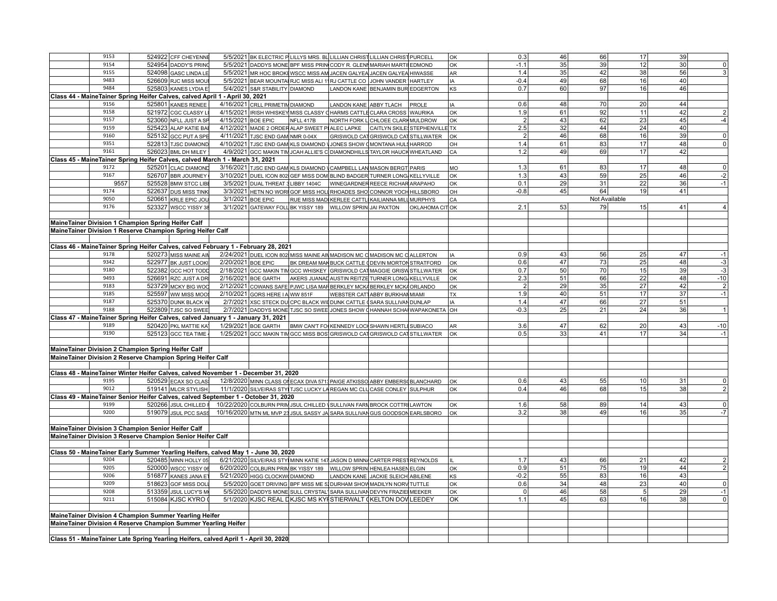| 9153 | 524922 CFF CHEYENNE                                                                           |                    | 5/5/2021 BK ELECTRIC PLILLYS MRS. BL LILLIAN CHRIST LILLIAN CHRIST PURCELL   |           |                                                  |                                      |                | OK        | 0.3            | 46 | 66            | 17              | 39 |                 |
|------|-----------------------------------------------------------------------------------------------|--------------------|------------------------------------------------------------------------------|-----------|--------------------------------------------------|--------------------------------------|----------------|-----------|----------------|----|---------------|-----------------|----|-----------------|
| 9154 | 524954 DADDY'S PRING                                                                          |                    | 5/5/2021 DADDYS MONE BPF MISS PRINCODY R. GLENNARIAH MARTILEDMOND            |           |                                                  |                                      |                | lок       | $-1.1$         | 35 | 39            | 12              | 30 | $\mathbf 0$     |
| 9155 | 524098 GASC LINDA LE                                                                          |                    | 5/5/2021 MR HOC BROKEWSCC MISS AM JACEN GALYEA JACEN GALYEA HIWASSE          |           |                                                  |                                      |                | AR        | 1.4            | 35 | 42            | 38              | 56 | 3               |
| 9483 |                                                                                               |                    |                                                                              |           |                                                  |                                      |                |           | $-0.4$         |    |               |                 |    |                 |
|      | 526609 RJC MISS MOUI                                                                          |                    | 5/5/2021 BEAR MOUNTAIRJC MISS ALI 11RJ CATTLE CO JOHN VANDER HARTLEY         |           |                                                  |                                      |                | IA        |                | 49 | 68            | 16              | 40 |                 |
| 9484 | 525803 KANES LYDIA E                                                                          |                    | 5/4/2021 S&R STABILITY DIAMOND                                               |           | LANDON KANE BENJAMIN BUR EDGERTON                |                                      |                | <b>KS</b> | 0.7            | 60 | 97            | 16              | 46 |                 |
|      | Class 44 - MaineTainer Spring Heifer Calves, calved April 1 - April 30, 2021                  |                    |                                                                              |           |                                                  |                                      |                |           |                |    |               |                 |    |                 |
| 9156 | 525801 KANES RENEE                                                                            |                    | 4/16/2021 CRLL PRIMETIM DIAMOND                                              |           | LANDON KANE ABBY TLACH                           |                                      | PROLE          | IA        | 0.6            | 48 | 70            | 20              | 44 |                 |
| 9158 | 521972 CGC CLASSY L                                                                           |                    | 4/15/2021 IRISH WHISKEY MISS CLASSY CHARMS CATTLE CLARA CROSS WAURIKA        |           |                                                  |                                      |                | oĸ        | 1.9            | 61 | 92            | 11              | 42 | $\overline{2}$  |
| 9157 | 523060 NFLL JUST A SP                                                                         |                    | 4/15/2021 BOE EPIC                                                           | NFLL 417B |                                                  | NORTH FORK LCHLOEE CLARK MULDROW     |                | oĸ        | 2              | 43 | 62            | 23              | 45 | $-4$            |
| 9159 | 525423 ALAP KATIE BAI                                                                         |                    | 4/12/2021 MADE 2 ORDER ALAP SWEET PIALEC LAPKE CAITLYN SKILE STEPHENVILLE TX |           |                                                  |                                      |                |           | 2.5            | 32 | 44            | 24              | 40 |                 |
| 9160 | 525132 GCC PUT A SPE                                                                          |                    | 4/11/2021 TJSC END GAM NMR 0-04X                                             |           |                                                  | GRISWOLD CAT GRISWOLD CAT STILLWATER |                | <b>OK</b> | $\overline{2}$ | 46 | 68            | 16              | 39 | $\pmb{0}$       |
| 9351 | 522813 TJSC DIAMOND                                                                           |                    | 4/10/2021 TJSC END GAM KLS DIAMOND JJONES SHOW CMONTANA HULS HARROD          |           |                                                  |                                      |                | loh       | 1.4            | 61 | 83            | 17              | 48 | $\overline{0}$  |
| 9161 | 526023 BML DH MILEY                                                                           |                    | 4/9/2021 GCC MAKIN TIM JCAH ALLIE'S C DIAMONDHILLS TAYLOR HAUCK WHEATLAND    |           |                                                  |                                      |                | CA        | 1.2            | 49 | 69            | 17              | 42 |                 |
|      | Class 45 - MaineTainer Spring Heifer Calves, calved March 1 - March 31, 2021                  |                    |                                                                              |           |                                                  |                                      |                |           |                |    |               |                 |    |                 |
| 9172 | 525201 CLAC DIAMOND                                                                           |                    | 3/16/2021 TJSC END GAM KLS DIAMOND \CAMPBELL LAN MASON BERGT PARIS           |           |                                                  |                                      |                | MO        | 1.3            | 61 | 83            | 17              | 48 | 0               |
| 9167 | 526707 BBR JOURNEY                                                                            |                    | 3/10/2021 DUEL ICON 802 GEF MISS DOM BLIND BADGER TURNER LONG KELLYVILLE     |           |                                                  |                                      |                | OK        | 1.3            | 43 | 59            | 25              | 46 | $-2$            |
| 9557 | 525528 BMW STCC LIBE                                                                          |                    | 3/5/2021 DUAL THREAT 3 LIBBY 1404C   WINEGARDNER REECE RICHAR ARAPAHO        |           |                                                  |                                      |                | OK        | 0.1            | 29 | 31            | 22              | 36 | $-1$            |
| 9174 | 522637 DUS MISS TINK                                                                          |                    | 3/3/2021 HETN NO WORIGOF MISS HOLL RHOADES SHOLONNOR YOCH HILLSBORO          |           |                                                  |                                      |                | lон       | $-0.8$         | 45 | 64            | 19              | 41 |                 |
| 9050 | 520661 KRLE EPIC JOU                                                                          |                    | 3/1/2021 BOE EPIC                                                            |           | RUE MISS MAD KERLEE CATTL KAILIANNA MILL MURPHYS |                                      |                | CA        |                |    | Not Available |                 |    |                 |
| 9176 | 523327 WSCC YISSY 38                                                                          |                    | 3/1/2021 GATEWAY FOLL BK YISSY 189   WILLOW SPRIN JAI PAXTON                 |           |                                                  |                                      | OKLAHOMA CITOK |           | 2.1            | 53 | 79            | 15              | 41 |                 |
|      |                                                                                               |                    |                                                                              |           |                                                  |                                      |                |           |                |    |               |                 |    |                 |
|      |                                                                                               |                    |                                                                              |           |                                                  |                                      |                |           |                |    |               |                 |    |                 |
|      | MaineTainer Division 1 Champion Spring Heifer Calf                                            |                    |                                                                              |           |                                                  |                                      |                |           |                |    |               |                 |    |                 |
|      | MaineTainer Division 1 Reserve Champion Spring Heifer Calf                                    |                    |                                                                              |           |                                                  |                                      |                |           |                |    |               |                 |    |                 |
|      |                                                                                               |                    |                                                                              |           |                                                  |                                      |                |           |                |    |               |                 |    |                 |
|      | Class 46 - MaineTainer Spring Heifer Calves, calved February 1 - February 28, 2021            |                    |                                                                              |           |                                                  |                                      |                |           |                |    |               |                 |    |                 |
| 9178 | 520273 MISS MAINE AIN                                                                         |                    | 2/24/2021 DUEL ICON 802 MISS MAINE AIN MADISON MC C MADISON MC C ALLERTON    |           |                                                  |                                      |                | IA        | 0.9            | 43 | 56            | 25              | 47 | $-1$            |
| 9342 | 522977 BK JUST LOOKI                                                                          | 2/20/2021 BOE EPIC |                                                                              |           | BK DREAM MAK BUCK CATTLE (DEVIN MORTON STRATFORD |                                      |                | OK        | 0.6            | 47 | 73            | 25              | 48 | $\overline{-3}$ |
| 9180 | 522382 GCC HOT TODD                                                                           |                    | 2/18/2021 GCC MAKIN TIM GCC WHISKEY GRISWOLD CAT MAGGIE GRISW STILLWATER     |           |                                                  |                                      |                | <b>OK</b> | 0.7            | 50 | 70            | 15              | 39 | $-3$            |
| 9493 | 526691 RZC JUST A DR                                                                          |                    | 2/16/2021 BOE GARTH AKERS JUANAD AUSTIN REITZE TURNER LONG KELLYVILLE        |           |                                                  |                                      |                | OK        | 2.3            | 51 | 66            | 22              | 48 | $-10$           |
| 9183 | 523729 MCKY BIG WOO                                                                           |                    | 2/12/2021 COWANS SAFE PJWC LISA MARBERKLEY MCK BERKLEY MCK ORLANDO           |           |                                                  |                                      |                | OK        | 2              | 29 | 35            | 27              | 42 | $\sqrt{2}$      |
| 9185 | 525597 WW MISS MOOS                                                                           |                    | 2/10/2021 GORS HERE I A WW 851F                                              |           | WEBSTER CAT ABBY BURKHAN MIAMI                   |                                      |                | <b>TX</b> | 1.9            | 40 | 51            | 17              | 37 | $-1$            |
| 9187 | 525370 DUNK BLACK W                                                                           |                    | 2/7/2021 XSC STECK DUCPC BLACK WII DUNK CATTLE (SARA SULLIVAN DUNLAP         |           |                                                  |                                      |                | IA        | 1.4            | 47 | 66            | 27              | 51 |                 |
| 9188 | 522809 TJSC SO SWEE                                                                           |                    | 2/7/2021 DADDYS MONE TJSC SO SWEE JONES SHOW CHANNAH SCHA WAPAKONETA OH      |           |                                                  |                                      |                |           | $-0.3$         | 25 | 21            | 24              | 36 |                 |
|      | Class 47 - MaineTainer Spring Heifer Calves, calved January 1 - January 31, 2021              |                    |                                                                              |           |                                                  |                                      |                |           |                |    |               |                 |    |                 |
| 9189 | 520420 PKL MATTIE KA                                                                          |                    | 1/29/2021 BOE GARTH   BMW CAN'T FO KENNEDY LOCH SHAWN HERTLE SUBIACO         |           |                                                  |                                      |                | AR        | 3.6            | 47 | 62            | 20              | 43 | $-10$           |
| 9190 | 525123 GCC TEA TIME                                                                           |                    | 1/25/2021 GCC MAKIN TIM GCC MISS BOS GRISWOLD CAT GRISWOLD CAT STILLWATER    |           |                                                  |                                      |                | OK        | 0.5            | 33 | 41            | 17              | 34 | $-1$            |
|      |                                                                                               |                    |                                                                              |           |                                                  |                                      |                |           |                |    |               |                 |    |                 |
|      | Maine Tainer Division 2 Champion Spring Heifer Calf                                           |                    |                                                                              |           |                                                  |                                      |                |           |                |    |               |                 |    |                 |
|      | MaineTainer Division 2 Reserve Champion Spring Heifer Calf                                    |                    |                                                                              |           |                                                  |                                      |                |           |                |    |               |                 |    |                 |
|      |                                                                                               |                    |                                                                              |           |                                                  |                                      |                |           |                |    |               |                 |    |                 |
|      |                                                                                               |                    |                                                                              |           |                                                  |                                      |                |           |                |    |               |                 |    |                 |
|      | Class 48 - MaineTainer Winter Heifer Calves, calved November 1 - December 31, 2020            |                    |                                                                              |           |                                                  |                                      |                |           |                |    |               |                 |    |                 |
| 9195 | 520529 ECAX SO CLAS                                                                           |                    | 12/8/2020 MINN CLASS ON ECAX DIVA 5713 PAIGE ATKISSO ABBY EMBERS BLANCHARD   |           |                                                  |                                      |                | <b>OK</b> | 0.6            | 43 | 55            | 10 <sup>1</sup> | 31 | $\overline{0}$  |
| 9012 | 519141 MLCR STYLISH                                                                           |                    | 11/1/2020 SILVEIRAS STY TJSC LUCKY LA REGAN MC CLU CASE CONLEY SULPHUR       |           |                                                  |                                      |                | OK        | 0.4            | 46 | 68            | 15              | 38 | $\overline{2}$  |
|      | Class 49 - MaineTainer Senior Heifer Calves, calved September 1 - October 31, 2020            |                    |                                                                              |           |                                                  |                                      |                |           |                |    |               |                 |    |                 |
| 9199 | 520266 JSUL CHILLED   10/22/2020 COLBURN PRIM JSUL CHILLED   SULLIVAN FARI BROCK COTTR LAWTON |                    |                                                                              |           |                                                  |                                      |                | OK        | 1.6            | 58 | 89            | 14              | 43 | $\overline{0}$  |
| 9200 | 519079 JSUL PCC SASS                                                                          |                    | 10/16/2020 MTN ML MVP 23 JSUL SASSY JA SARA SULLIVAN GUS GOODSON EARLSBORO   |           |                                                  |                                      |                | <b>OK</b> | 3.2            | 38 | 49            | 16              | 35 | $-7$            |
|      |                                                                                               |                    |                                                                              |           |                                                  |                                      |                |           |                |    |               |                 |    |                 |
|      | Maine Tainer Division 3 Champion Senior Heifer Calf                                           |                    |                                                                              |           |                                                  |                                      |                |           |                |    |               |                 |    |                 |
|      | Maine Tainer Division 3 Reserve Champion Senior Heifer Calf                                   |                    |                                                                              |           |                                                  |                                      |                |           |                |    |               |                 |    |                 |
|      |                                                                                               |                    |                                                                              |           |                                                  |                                      |                |           |                |    |               |                 |    |                 |
|      | Class 50 - MaineTainer Early Summer Yearling Heifers, calved May 1 - June 30, 2020            |                    |                                                                              |           |                                                  |                                      |                |           |                |    |               |                 |    |                 |
| 9204 | 520485 MINN HOLLY 05                                                                          |                    | 6/21/2020 SILVEIRAS STY MINN KATIE 147 JASON D MINN CARTER PREST REYNOLDS    |           |                                                  |                                      |                | IL        | 1.7            | 43 | 66            | 21              | 42 | $\overline{2}$  |
| 9205 | 520000 wscc YISSY 0d                                                                          |                    | 6/20/2020 COLBURN PRIM BK YISSY 189   WILLOW SPRIN HENLEA HASEN ELGIN        |           |                                                  |                                      |                | lок       | 0.9            | 51 | 75            | 19              | 44 | $\overline{2}$  |
| 9206 | 516877 KANES JANA ET                                                                          |                    | 5/21/2020 HIGG CLOCKW DIAMOND                                                |           | LANDON KANE JACKIE SLEICH ABILENE                |                                      |                | KS        | $-0.2$         | 55 | 83            | 16              | 43 |                 |
| 9209 | 518623 GOF MISS DOL                                                                           |                    | 5/5/2020 GOET DRIVING BPF MISS ME 5 DURHAM SHOW MADILYN NORY TUTTLE          |           |                                                  |                                      |                | OK        | 0.6            | 34 | 48            | 23              | 40 | $\overline{0}$  |
| 9208 | 513359 JSUL LUCY'S M                                                                          |                    | 5/5/2020 DADDYS MONE SULL CRYSTAL SARA SULLIVAN DEVYN FRAZIE MEEKER          |           |                                                  |                                      |                | lок       | 0              | 46 | 58            | 5               | 29 | $-1$            |
| 9211 | 515084 KJSC KYRO 0                                                                            |                    | 5/1/2020 KJSC REAL DKJSC MS KY STIERWALT (KELTON DOV LEEDEY                  |           |                                                  |                                      |                | lok       | 1.1            | 45 | 63            | 16              | 38 | $\overline{0}$  |
|      |                                                                                               |                    |                                                                              |           |                                                  |                                      |                |           |                |    |               |                 |    |                 |
|      | Maine Tainer Division 4 Champion Summer Yearling Heifer                                       |                    |                                                                              |           |                                                  |                                      |                |           |                |    |               |                 |    |                 |
|      | Maine Tainer Division 4 Reserve Champion Summer Yearling Heifer                               |                    |                                                                              |           |                                                  |                                      |                |           |                |    |               |                 |    |                 |
|      |                                                                                               |                    |                                                                              |           |                                                  |                                      |                |           |                |    |               |                 |    |                 |
|      |                                                                                               |                    |                                                                              |           |                                                  |                                      |                |           |                |    |               |                 |    |                 |
|      | Class 51 - MaineTainer Late Spring Yearling Heifers, calved April 1 - April 30, 2020          |                    |                                                                              |           |                                                  |                                      |                |           |                |    |               |                 |    |                 |